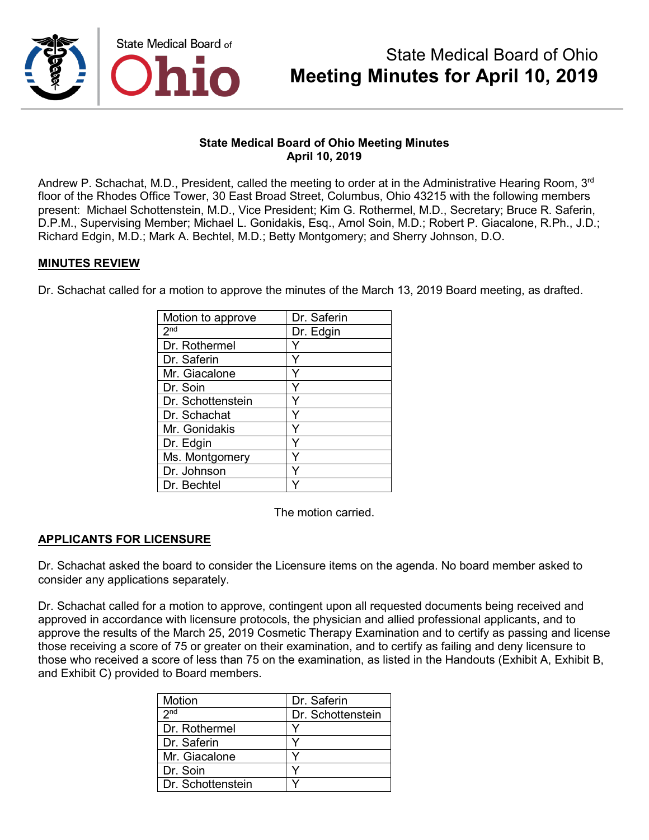

## **State Medical Board of Ohio Meeting Minutes April 10, 2019**

Andrew P. Schachat, M.D., President, called the meeting to order at in the Administrative Hearing Room, 3<sup>rd</sup> floor of the Rhodes Office Tower, 30 East Broad Street, Columbus, Ohio 43215 with the following members present: Michael Schottenstein, M.D., Vice President; Kim G. Rothermel, M.D., Secretary; Bruce R. Saferin, D.P.M., Supervising Member; Michael L. Gonidakis, Esq., Amol Soin, M.D.; Robert P. Giacalone, R.Ph., J.D.; Richard Edgin, M.D.; Mark A. Bechtel, M.D.; Betty Montgomery; and Sherry Johnson, D.O.

## **MINUTES REVIEW**

Dr. Schachat called for a motion to approve the minutes of the March 13, 2019 Board meeting, as drafted.

| Motion to approve | Dr. Saferin |
|-------------------|-------------|
| 2 <sub>nd</sub>   | Dr. Edgin   |
| Dr. Rothermel     |             |
| Dr. Saferin       | Υ           |
| Mr. Giacalone     |             |
| Dr. Soin          |             |
| Dr. Schottenstein | Y           |
| Dr. Schachat      | Υ           |
| Mr. Gonidakis     |             |
| Dr. Edgin         | Υ           |
| Ms. Montgomery    |             |
| Dr. Johnson       |             |
| Dr. Bechtel       |             |

The motion carried.

# **APPLICANTS FOR LICENSURE**

Dr. Schachat asked the board to consider the Licensure items on the agenda. No board member asked to consider any applications separately.

Dr. Schachat called for a motion to approve, contingent upon all requested documents being received and approved in accordance with licensure protocols, the physician and allied professional applicants, and to approve the results of the March 25, 2019 Cosmetic Therapy Examination and to certify as passing and license those receiving a score of 75 or greater on their examination, and to certify as failing and deny licensure to those who received a score of less than 75 on the examination, as listed in the Handouts (Exhibit A, Exhibit B, and Exhibit C) provided to Board members.

| Motion            | Dr. Saferin       |
|-------------------|-------------------|
| 2 <sub>nd</sub>   | Dr. Schottenstein |
| Dr. Rothermel     |                   |
| l Dr. Saferin     |                   |
| Mr. Giacalone     |                   |
| l Dr. Soin        |                   |
| Dr. Schottenstein |                   |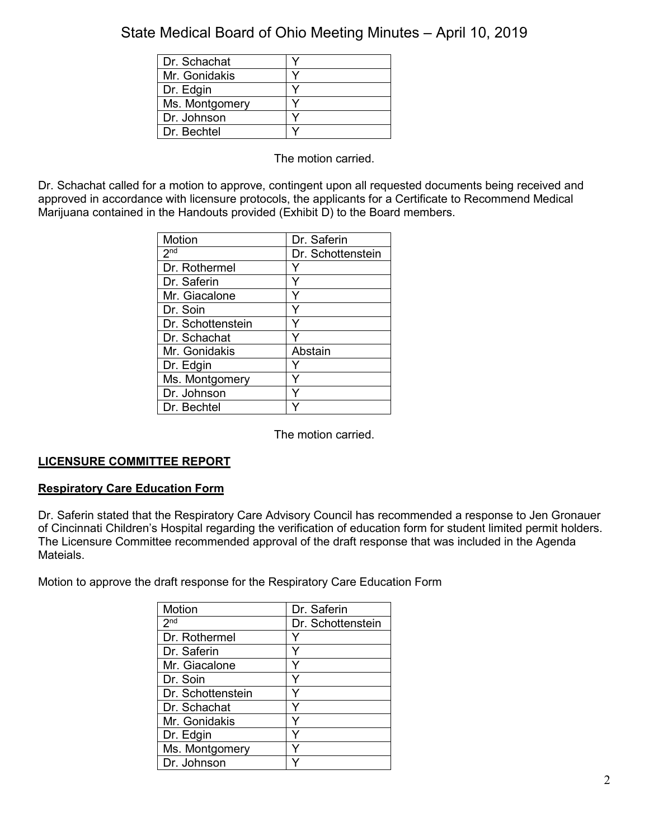| Dr. Schachat   |  |
|----------------|--|
| Mr. Gonidakis  |  |
| Dr. Edgin      |  |
| Ms. Montgomery |  |
| Dr. Johnson    |  |
| Dr. Bechtel    |  |

The motion carried.

Dr. Schachat called for a motion to approve, contingent upon all requested documents being received and approved in accordance with licensure protocols, the applicants for a Certificate to Recommend Medical Marijuana contained in the Handouts provided (Exhibit D) to the Board members.

| Motion            | Dr. Saferin       |
|-------------------|-------------------|
| 2 <sub>nd</sub>   | Dr. Schottenstein |
| Dr. Rothermel     |                   |
| Dr. Saferin       | Y                 |
| Mr. Giacalone     |                   |
| Dr. Soin          | Y                 |
| Dr. Schottenstein | Υ                 |
| Dr. Schachat      |                   |
| Mr. Gonidakis     | Abstain           |
| Dr. Edgin         |                   |
| Ms. Montgomery    |                   |
| Dr. Johnson       |                   |
| Dr. Bechtel       |                   |

The motion carried.

# **LICENSURE COMMITTEE REPORT**

## **Respiratory Care Education Form**

Dr. Saferin stated that the Respiratory Care Advisory Council has recommended a response to Jen Gronauer of Cincinnati Children's Hospital regarding the verification of education form for student limited permit holders. The Licensure Committee recommended approval of the draft response that was included in the Agenda Mateials.

Motion to approve the draft response for the Respiratory Care Education Form

| Motion            | Dr. Saferin       |
|-------------------|-------------------|
| 2 <sub>nd</sub>   | Dr. Schottenstein |
| Dr. Rothermel     |                   |
| Dr. Saferin       |                   |
| Mr. Giacalone     | ٧                 |
| Dr. Soin          | ٧                 |
| Dr. Schottenstein |                   |
| Dr. Schachat      |                   |
| Mr. Gonidakis     | Y                 |
| Dr. Edgin         | Υ                 |
| Ms. Montgomery    |                   |
| Dr. Johnson       |                   |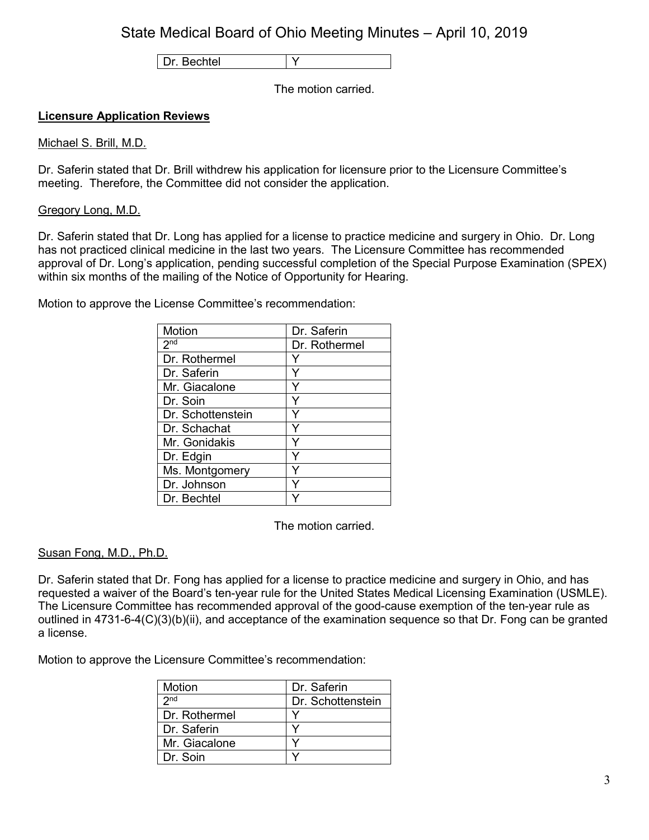Dr. Bechtel | Y

The motion carried.

## **Licensure Application Reviews**

#### Michael S. Brill, M.D.

Dr. Saferin stated that Dr. Brill withdrew his application for licensure prior to the Licensure Committee's meeting. Therefore, the Committee did not consider the application.

#### Gregory Long, M.D.

Dr. Saferin stated that Dr. Long has applied for a license to practice medicine and surgery in Ohio. Dr. Long has not practiced clinical medicine in the last two years. The Licensure Committee has recommended approval of Dr. Long's application, pending successful completion of the Special Purpose Examination (SPEX) within six months of the mailing of the Notice of Opportunity for Hearing.

Motion to approve the License Committee's recommendation:

| Motion            | Dr. Saferin   |
|-------------------|---------------|
| 2 <sup>nd</sup>   | Dr. Rothermel |
| Dr. Rothermel     |               |
| Dr. Saferin       |               |
| Mr. Giacalone     | Y             |
| Dr. Soin          |               |
| Dr. Schottenstein |               |
| Dr. Schachat      |               |
| Mr. Gonidakis     |               |
| Dr. Edgin         |               |
| Ms. Montgomery    |               |
| Dr. Johnson       |               |
| Dr. Bechtel       |               |

The motion carried.

#### Susan Fong, M.D., Ph.D.

Dr. Saferin stated that Dr. Fong has applied for a license to practice medicine and surgery in Ohio, and has requested a waiver of the Board's ten-year rule for the United States Medical Licensing Examination (USMLE). The Licensure Committee has recommended approval of the good-cause exemption of the ten-year rule as outlined in 4731-6-4(C)(3)(b)(ii), and acceptance of the examination sequence so that Dr. Fong can be granted a license.

| Motion          | Dr. Saferin       |
|-----------------|-------------------|
| 2 <sub>nd</sub> | Dr. Schottenstein |
| Dr. Rothermel   |                   |
| l Dr. Saferin   |                   |
| Mr. Giacalone   |                   |
| l Dr. Soin      |                   |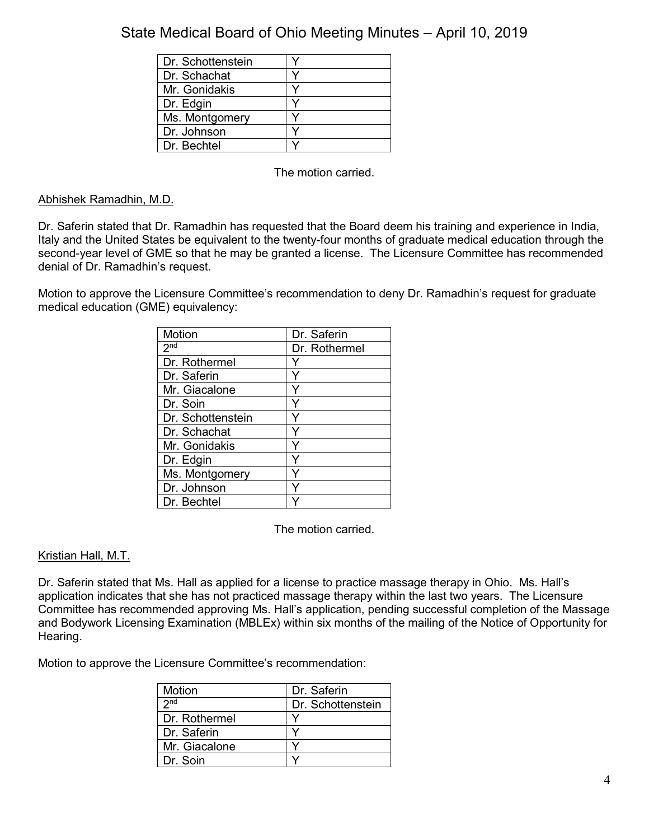| Dr. Schottenstein |  |
|-------------------|--|
| Dr. Schachat      |  |
| Mr. Gonidakis     |  |
| Dr. Edgin         |  |
| Ms. Montgomery    |  |
| Dr. Johnson       |  |
| Dr. Bechtel       |  |

The motion carried.

# Abhishek Ramadhin, M.D.

Dr. Saferin stated that Dr. Ramadhin has requested that the Board deem his training and experience in India, Italy and the United States be equivalent to the twenty-four months of graduate medical education through the second-year level of GME so that he may be granted a license. The Licensure Committee has recommended denial of Dr. Ramadhin's request.

Motion to approve the Licensure Committee's recommendation to deny Dr. Ramadhin's request for graduate medical education (GME) equivalency:

| Motion            | Dr. Saferin   |
|-------------------|---------------|
| 2 <sup>nd</sup>   | Dr. Rothermel |
| Dr. Rothermel     |               |
| Dr. Saferin       | Y             |
| Mr. Giacalone     |               |
| Dr. Soin          |               |
| Dr. Schottenstein |               |
| Dr. Schachat      |               |
| Mr. Gonidakis     | Y             |
| Dr. Edgin         | Y             |
| Ms. Montgomery    |               |
| Dr. Johnson       |               |
| Dr. Bechtel       |               |

The motion carried.

# Kristian Hall, M.T.

Dr. Saferin stated that Ms. Hall as applied for a license to practice massage therapy in Ohio. Ms. Hall's application indicates that she has not practiced massage therapy within the last two years. The Licensure Committee has recommended approving Ms. Hall's application, pending successful completion of the Massage and Bodywork Licensing Examination (MBLEx) within six months of the mailing of the Notice of Opportunity for Hearing.

| Motion          | Dr. Saferin       |
|-----------------|-------------------|
| 2 <sub>nd</sub> | Dr. Schottenstein |
| Dr. Rothermel   |                   |
| Dr. Saferin     |                   |
| Mr. Giacalone   |                   |
| Dr Soin         |                   |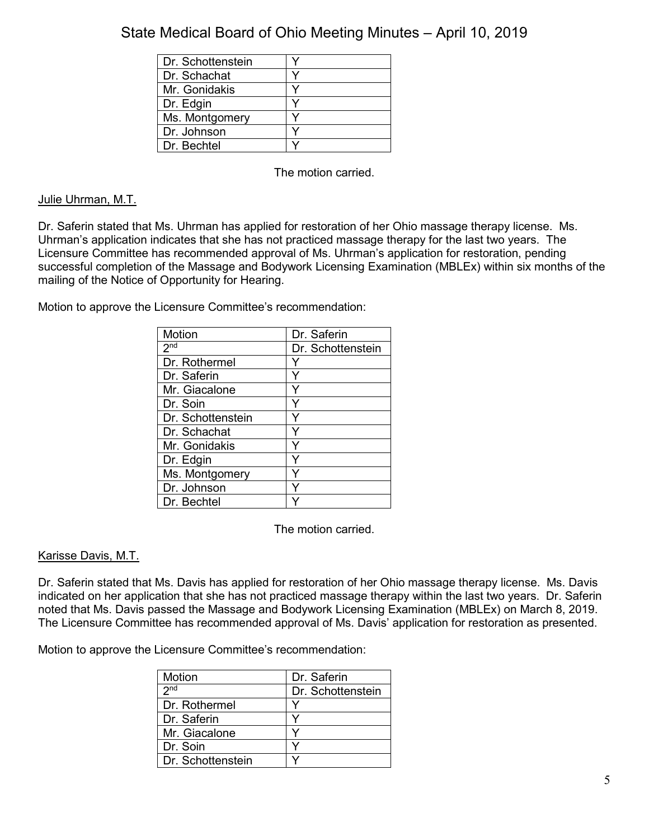| Dr. Schottenstein |  |
|-------------------|--|
| Dr. Schachat      |  |
| Mr. Gonidakis     |  |
| Dr. Edgin         |  |
| Ms. Montgomery    |  |
| Dr. Johnson       |  |
| Dr. Bechtel       |  |

The motion carried.

## Julie Uhrman, M.T.

Dr. Saferin stated that Ms. Uhrman has applied for restoration of her Ohio massage therapy license. Ms. Uhrman's application indicates that she has not practiced massage therapy for the last two years. The Licensure Committee has recommended approval of Ms. Uhrman's application for restoration, pending successful completion of the Massage and Bodywork Licensing Examination (MBLEx) within six months of the mailing of the Notice of Opportunity for Hearing.

Motion to approve the Licensure Committee's recommendation:

| <b>Motion</b>     | Dr. Saferin       |
|-------------------|-------------------|
| 2 <sup>nd</sup>   | Dr. Schottenstein |
| Dr. Rothermel     | Y                 |
| Dr. Saferin       | Y                 |
| Mr. Giacalone     | Υ                 |
| Dr. Soin          |                   |
| Dr. Schottenstein |                   |
| Dr. Schachat      | Υ                 |
| Mr. Gonidakis     | Y                 |
| Dr. Edgin         | ٧                 |
| Ms. Montgomery    |                   |
| Dr. Johnson       |                   |
| Dr. Bechtel       |                   |

The motion carried.

## Karisse Davis, M.T.

Dr. Saferin stated that Ms. Davis has applied for restoration of her Ohio massage therapy license. Ms. Davis indicated on her application that she has not practiced massage therapy within the last two years. Dr. Saferin noted that Ms. Davis passed the Massage and Bodywork Licensing Examination (MBLEx) on March 8, 2019. The Licensure Committee has recommended approval of Ms. Davis' application for restoration as presented.

| <b>Motion</b>     | Dr. Saferin       |
|-------------------|-------------------|
| 2 <sub>nd</sub>   | Dr. Schottenstein |
| Dr. Rothermel     |                   |
| Dr. Saferin       |                   |
| Mr. Giacalone     |                   |
| Dr. Soin          |                   |
| Dr. Schottenstein |                   |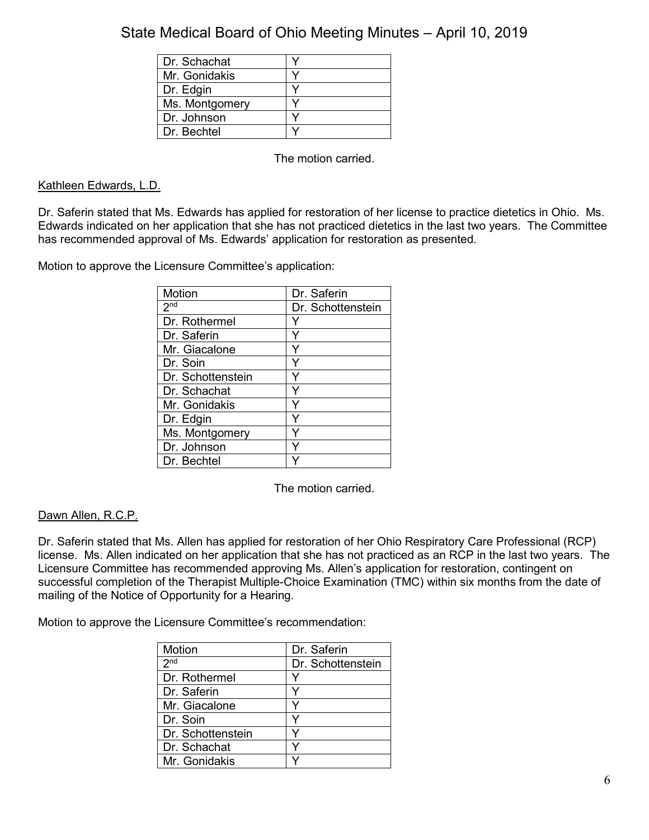| Dr. Schachat   |  |
|----------------|--|
| Mr. Gonidakis  |  |
| Dr. Edgin      |  |
| Ms. Montgomery |  |
| Dr. Johnson    |  |
| Dr. Bechtel    |  |

The motion carried.

## Kathleen Edwards, L.D.

Dr. Saferin stated that Ms. Edwards has applied for restoration of her license to practice dietetics in Ohio. Ms. Edwards indicated on her application that she has not practiced dietetics in the last two years. The Committee has recommended approval of Ms. Edwards' application for restoration as presented.

Motion to approve the Licensure Committee's application:

| Motion            | Dr. Saferin       |
|-------------------|-------------------|
| 2 <sub>nd</sub>   | Dr. Schottenstein |
| Dr. Rothermel     |                   |
| Dr. Saferin       | ٧                 |
| Mr. Giacalone     | ٧                 |
| Dr. Soin          |                   |
| Dr. Schottenstein |                   |
| Dr. Schachat      | v                 |
| Mr. Gonidakis     | Y                 |
| Dr. Edgin         |                   |
| Ms. Montgomery    |                   |
| Dr. Johnson       |                   |
| Dr. Bechtel       |                   |

The motion carried.

# Dawn Allen, R.C.P.

Dr. Saferin stated that Ms. Allen has applied for restoration of her Ohio Respiratory Care Professional (RCP) license. Ms. Allen indicated on her application that she has not practiced as an RCP in the last two years. The Licensure Committee has recommended approving Ms. Allen's application for restoration, contingent on successful completion of the Therapist Multiple-Choice Examination (TMC) within six months from the date of mailing of the Notice of Opportunity for a Hearing.

| Motion            | Dr. Saferin       |
|-------------------|-------------------|
| 2 <sup>nd</sup>   | Dr. Schottenstein |
| Dr. Rothermel     |                   |
| Dr. Saferin       |                   |
| Mr. Giacalone     |                   |
| Dr. Soin          |                   |
| Dr. Schottenstein |                   |
| Dr. Schachat      |                   |
| Mr. Gonidakis     |                   |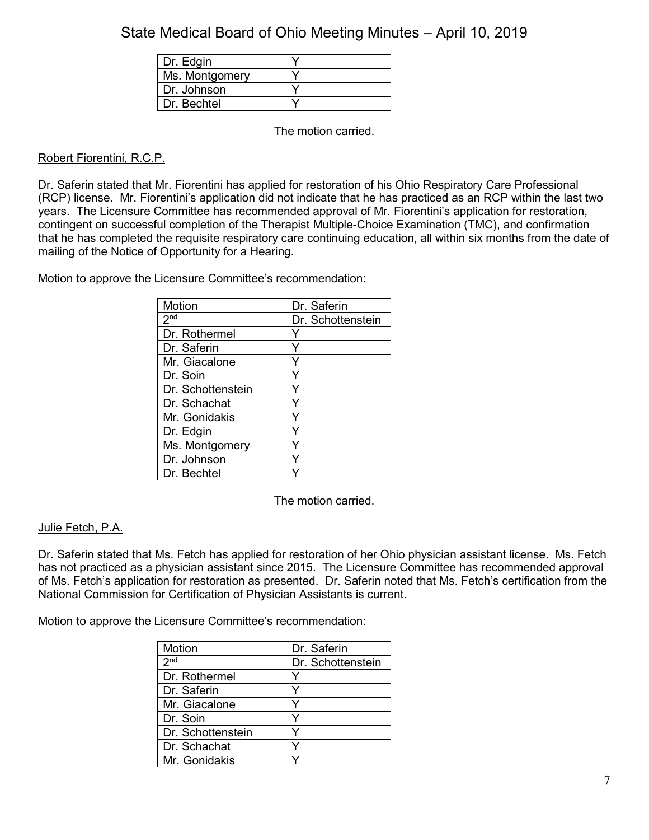| Dr. Edgin      |  |
|----------------|--|
| Ms. Montgomery |  |
| Dr. Johnson    |  |
| Dr. Bechtel    |  |

The motion carried.

## Robert Fiorentini, R.C.P.

Dr. Saferin stated that Mr. Fiorentini has applied for restoration of his Ohio Respiratory Care Professional (RCP) license. Mr. Fiorentini's application did not indicate that he has practiced as an RCP within the last two years. The Licensure Committee has recommended approval of Mr. Fiorentini's application for restoration, contingent on successful completion of the Therapist Multiple-Choice Examination (TMC), and confirmation that he has completed the requisite respiratory care continuing education, all within six months from the date of mailing of the Notice of Opportunity for a Hearing.

Motion to approve the Licensure Committee's recommendation:

| Motion            | Dr. Saferin       |
|-------------------|-------------------|
| 2 <sup>nd</sup>   | Dr. Schottenstein |
| Dr. Rothermel     |                   |
| Dr. Saferin       |                   |
| Mr. Giacalone     |                   |
| Dr. Soin          |                   |
| Dr. Schottenstein |                   |
| Dr. Schachat      |                   |
| Mr. Gonidakis     |                   |
| Dr. Edgin         | Y                 |
| Ms. Montgomery    |                   |
| Dr. Johnson       |                   |
| Dr. Bechtel       |                   |

The motion carried.

## Julie Fetch, P.A.

Dr. Saferin stated that Ms. Fetch has applied for restoration of her Ohio physician assistant license. Ms. Fetch has not practiced as a physician assistant since 2015. The Licensure Committee has recommended approval of Ms. Fetch's application for restoration as presented. Dr. Saferin noted that Ms. Fetch's certification from the National Commission for Certification of Physician Assistants is current.

| Motion            | Dr. Saferin       |
|-------------------|-------------------|
| 2 <sub>nd</sub>   | Dr. Schottenstein |
| Dr. Rothermel     |                   |
| Dr. Saferin       |                   |
| Mr. Giacalone     |                   |
| Dr. Soin          |                   |
| Dr. Schottenstein |                   |
| Dr. Schachat      |                   |
| Mr. Gonidakis     |                   |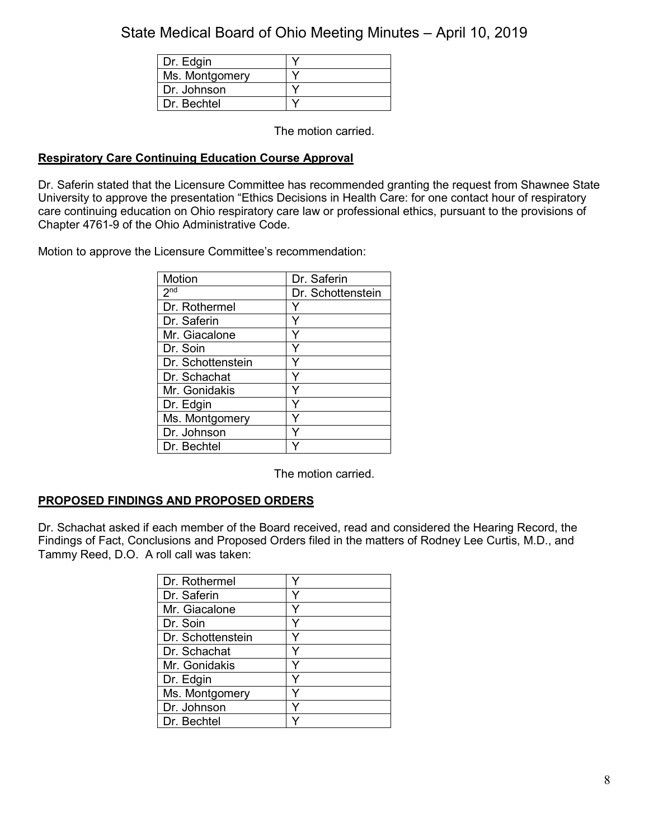| Dr. Edgin      |  |
|----------------|--|
| Ms. Montgomery |  |
| Dr. Johnson    |  |
| Dr Bechtel     |  |

The motion carried.

## **Respiratory Care Continuing Education Course Approval**

Dr. Saferin stated that the Licensure Committee has recommended granting the request from Shawnee State University to approve the presentation "Ethics Decisions in Health Care: for one contact hour of respiratory care continuing education on Ohio respiratory care law or professional ethics, pursuant to the provisions of Chapter 4761-9 of the Ohio Administrative Code.

Motion to approve the Licensure Committee's recommendation:

| Motion                     | Dr. Saferin       |
|----------------------------|-------------------|
| $2^{\overline{\text{nd}}}$ | Dr. Schottenstein |
| Dr. Rothermel              |                   |
| Dr. Saferin                |                   |
| Mr. Giacalone              |                   |
| Dr. Soin                   | Y                 |
| Dr. Schottenstein          |                   |
| Dr. Schachat               |                   |
| Mr. Gonidakis              | Υ                 |
| Dr. Edgin                  | Y                 |
| Ms. Montgomery             |                   |
| Dr. Johnson                |                   |
| Dr. Bechtel                |                   |

The motion carried.

# **PROPOSED FINDINGS AND PROPOSED ORDERS**

Dr. Schachat asked if each member of the Board received, read and considered the Hearing Record, the Findings of Fact, Conclusions and Proposed Orders filed in the matters of Rodney Lee Curtis, M.D., and Tammy Reed, D.O. A roll call was taken:

| Dr. Rothermel     |   |
|-------------------|---|
| Dr. Saferin       |   |
| Mr. Giacalone     |   |
| Dr. Soin          | ٧ |
| Dr. Schottenstein |   |
| Dr. Schachat      |   |
| Mr. Gonidakis     |   |
| Dr. Edgin         |   |
| Ms. Montgomery    |   |
| Dr. Johnson       |   |
| Dr. Bechtel       |   |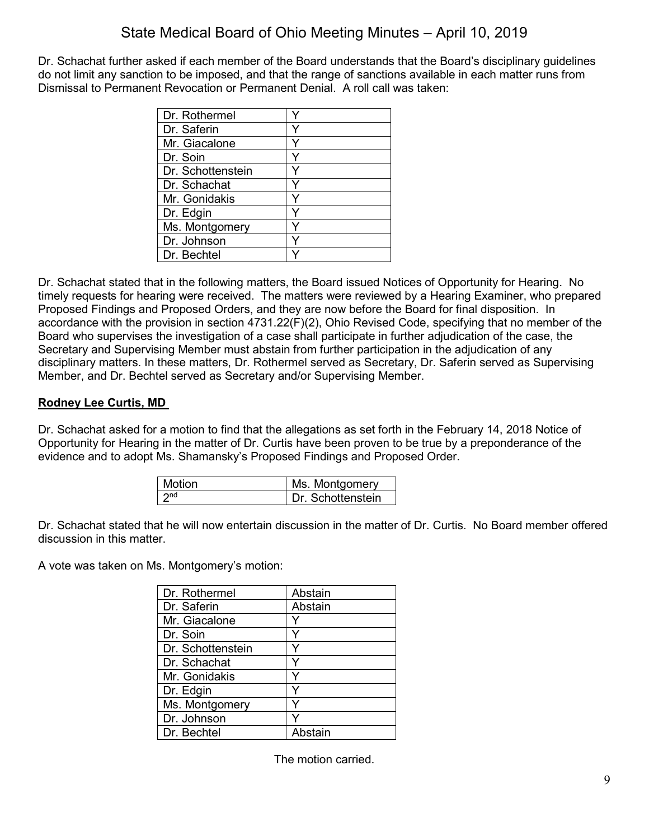Dr. Schachat further asked if each member of the Board understands that the Board's disciplinary guidelines do not limit any sanction to be imposed, and that the range of sanctions available in each matter runs from Dismissal to Permanent Revocation or Permanent Denial. A roll call was taken:

| Dr. Rothermel     |  |
|-------------------|--|
| Dr. Saferin       |  |
| Mr. Giacalone     |  |
| Dr. Soin          |  |
| Dr. Schottenstein |  |
| Dr. Schachat      |  |
| Mr. Gonidakis     |  |
| Dr. Edgin         |  |
| Ms. Montgomery    |  |
| Dr. Johnson       |  |
| Dr. Bechtel       |  |

Dr. Schachat stated that in the following matters, the Board issued Notices of Opportunity for Hearing. No timely requests for hearing were received. The matters were reviewed by a Hearing Examiner, who prepared Proposed Findings and Proposed Orders, and they are now before the Board for final disposition. In accordance with the provision in section 4731.22(F)(2), Ohio Revised Code, specifying that no member of the Board who supervises the investigation of a case shall participate in further adjudication of the case, the Secretary and Supervising Member must abstain from further participation in the adjudication of any disciplinary matters. In these matters, Dr. Rothermel served as Secretary, Dr. Saferin served as Supervising Member, and Dr. Bechtel served as Secretary and/or Supervising Member.

# **Rodney Lee Curtis, MD**

Dr. Schachat asked for a motion to find that the allegations as set forth in the February 14, 2018 Notice of Opportunity for Hearing in the matter of Dr. Curtis have been proven to be true by a preponderance of the evidence and to adopt Ms. Shamansky's Proposed Findings and Proposed Order.

| Motion | Ms. Montgomery    |
|--------|-------------------|
| 2nd    | Dr. Schottenstein |

Dr. Schachat stated that he will now entertain discussion in the matter of Dr. Curtis. No Board member offered discussion in this matter.

A vote was taken on Ms. Montgomery's motion:

| Dr. Rothermel     | Abstain |
|-------------------|---------|
| Dr. Saferin       | Abstain |
| Mr. Giacalone     |         |
| Dr. Soin          | Y       |
| Dr. Schottenstein |         |
| Dr. Schachat      | Y       |
| Mr. Gonidakis     | Y       |
| Dr. Edgin         | Y       |
| Ms. Montgomery    |         |
| Dr. Johnson       |         |
| Dr. Bechtel       | Abstain |

The motion carried.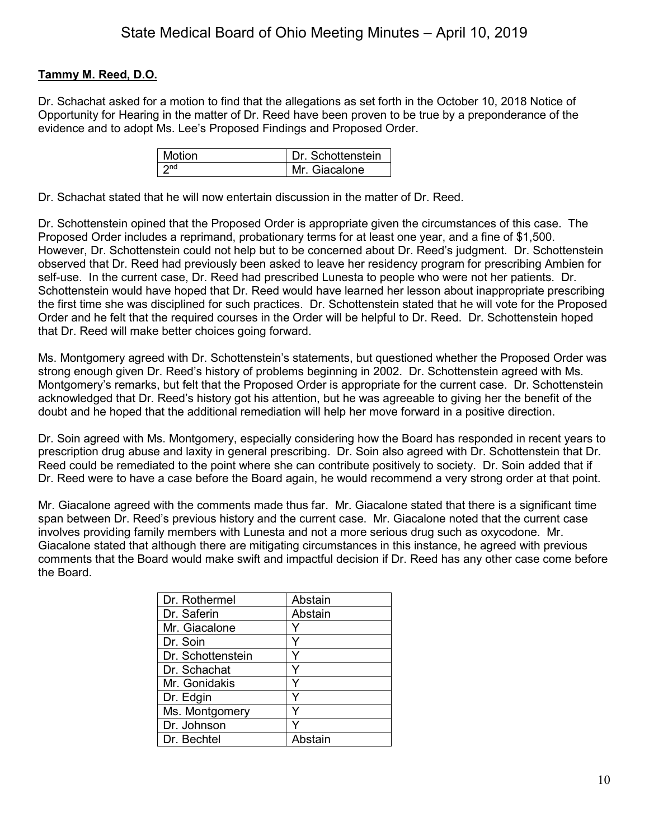# **Tammy M. Reed, D.O.**

Dr. Schachat asked for a motion to find that the allegations as set forth in the October 10, 2018 Notice of Opportunity for Hearing in the matter of Dr. Reed have been proven to be true by a preponderance of the evidence and to adopt Ms. Lee's Proposed Findings and Proposed Order.

| l Motion | Dr. Schottenstein |
|----------|-------------------|
|          | Mr Giacalone      |

Dr. Schachat stated that he will now entertain discussion in the matter of Dr. Reed.

Dr. Schottenstein opined that the Proposed Order is appropriate given the circumstances of this case. The Proposed Order includes a reprimand, probationary terms for at least one year, and a fine of \$1,500. However, Dr. Schottenstein could not help but to be concerned about Dr. Reed's judgment. Dr. Schottenstein observed that Dr. Reed had previously been asked to leave her residency program for prescribing Ambien for self-use. In the current case, Dr. Reed had prescribed Lunesta to people who were not her patients. Dr. Schottenstein would have hoped that Dr. Reed would have learned her lesson about inappropriate prescribing the first time she was disciplined for such practices. Dr. Schottenstein stated that he will vote for the Proposed Order and he felt that the required courses in the Order will be helpful to Dr. Reed. Dr. Schottenstein hoped that Dr. Reed will make better choices going forward.

Ms. Montgomery agreed with Dr. Schottenstein's statements, but questioned whether the Proposed Order was strong enough given Dr. Reed's history of problems beginning in 2002. Dr. Schottenstein agreed with Ms. Montgomery's remarks, but felt that the Proposed Order is appropriate for the current case. Dr. Schottenstein acknowledged that Dr. Reed's history got his attention, but he was agreeable to giving her the benefit of the doubt and he hoped that the additional remediation will help her move forward in a positive direction.

Dr. Soin agreed with Ms. Montgomery, especially considering how the Board has responded in recent years to prescription drug abuse and laxity in general prescribing. Dr. Soin also agreed with Dr. Schottenstein that Dr. Reed could be remediated to the point where she can contribute positively to society. Dr. Soin added that if Dr. Reed were to have a case before the Board again, he would recommend a very strong order at that point.

Mr. Giacalone agreed with the comments made thus far. Mr. Giacalone stated that there is a significant time span between Dr. Reed's previous history and the current case. Mr. Giacalone noted that the current case involves providing family members with Lunesta and not a more serious drug such as oxycodone. Mr. Giacalone stated that although there are mitigating circumstances in this instance, he agreed with previous comments that the Board would make swift and impactful decision if Dr. Reed has any other case come before the Board.

| Dr. Rothermel     | Abstain |
|-------------------|---------|
| Dr. Saferin       | Abstain |
| Mr. Giacalone     |         |
| Dr. Soin          |         |
| Dr. Schottenstein |         |
| Dr. Schachat      |         |
| Mr. Gonidakis     |         |
| Dr. Edgin         |         |
| Ms. Montgomery    |         |
| Dr. Johnson       |         |
| Dr. Bechtel       | Abstain |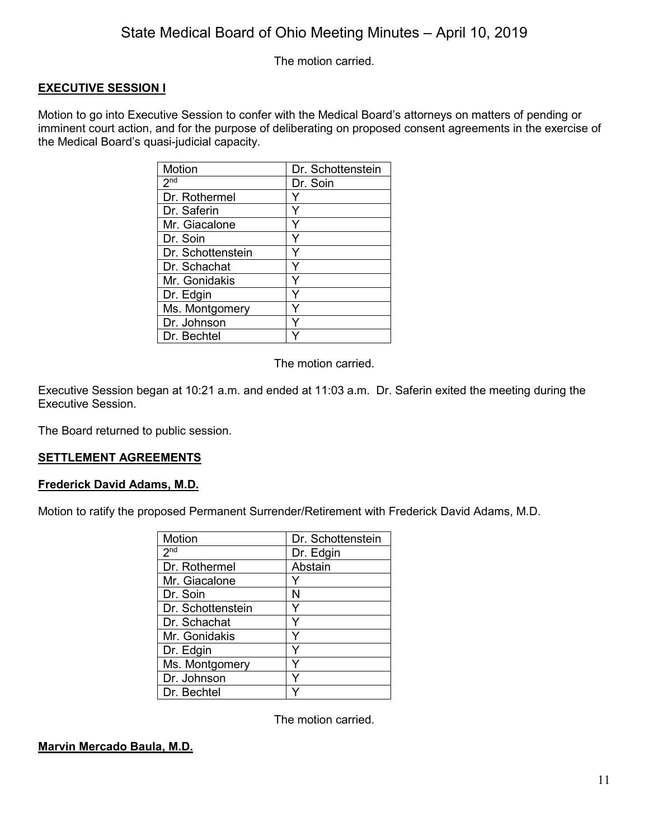The motion carried.

## **EXECUTIVE SESSION I**

Motion to go into Executive Session to confer with the Medical Board's attorneys on matters of pending or imminent court action, and for the purpose of deliberating on proposed consent agreements in the exercise of the Medical Board's quasi-judicial capacity.

| Motion            | Dr. Schottenstein |
|-------------------|-------------------|
| 2 <sub>nd</sub>   | Dr. Soin          |
| Dr. Rothermel     |                   |
| Dr. Saferin       |                   |
| Mr. Giacalone     | Y                 |
| Dr. Soin          | Y                 |
| Dr. Schottenstein | Y                 |
| Dr. Schachat      | Y                 |
| Mr. Gonidakis     | Y                 |
| Dr. Edgin         |                   |
| Ms. Montgomery    |                   |
| Dr. Johnson       |                   |
| Dr. Bechtel       |                   |

The motion carried.

Executive Session began at 10:21 a.m. and ended at 11:03 a.m. Dr. Saferin exited the meeting during the Executive Session.

The Board returned to public session.

## **SETTLEMENT AGREEMENTS**

#### **Frederick David Adams, M.D.**

Motion to ratify the proposed Permanent Surrender/Retirement with Frederick David Adams, M.D.

| Motion            | Dr. Schottenstein |
|-------------------|-------------------|
| 2 <sub>nd</sub>   | Dr. Edgin         |
| Dr. Rothermel     | Abstain           |
| Mr. Giacalone     |                   |
| Dr. Soin          | N                 |
| Dr. Schottenstein |                   |
| Dr. Schachat      |                   |
| Mr. Gonidakis     | Y                 |
| Dr. Edgin         | Y                 |
| Ms. Montgomery    | Y                 |
| Dr. Johnson       | ٧                 |
| Dr. Bechtel       |                   |

The motion carried.

#### **Marvin Mercado Baula, M.D.**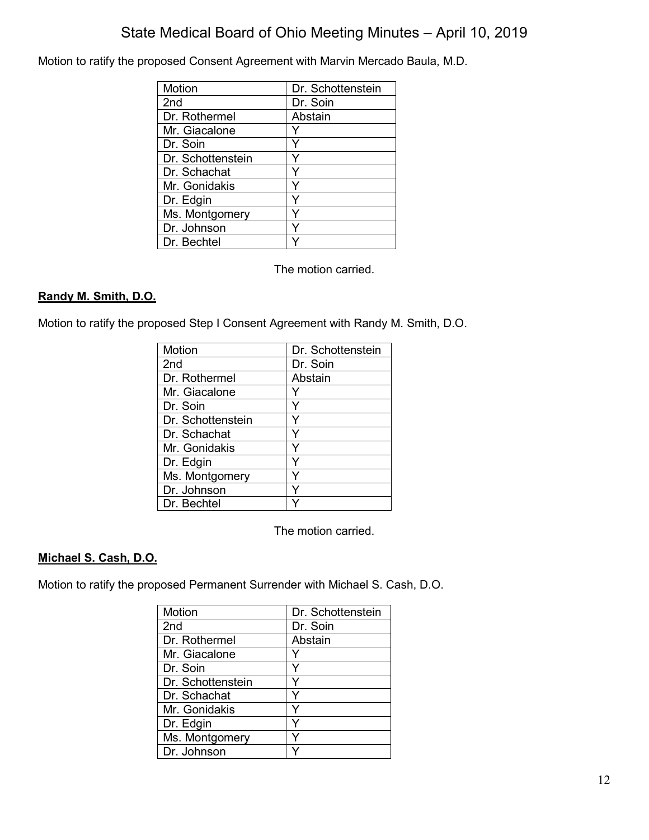Motion to ratify the proposed Consent Agreement with Marvin Mercado Baula, M.D.

| Motion            | Dr. Schottenstein |
|-------------------|-------------------|
| 2 <sub>nd</sub>   | Dr. Soin          |
| Dr. Rothermel     | Abstain           |
| Mr. Giacalone     |                   |
| Dr. Soin          |                   |
| Dr. Schottenstein |                   |
| Dr. Schachat      |                   |
| Mr. Gonidakis     |                   |
| Dr. Edgin         |                   |
| Ms. Montgomery    |                   |
| Dr. Johnson       |                   |
| Dr. Bechtel       |                   |

The motion carried.

## **Randy M. Smith, D.O.**

Motion to ratify the proposed Step I Consent Agreement with Randy M. Smith, D.O.

| Motion            | Dr. Schottenstein |
|-------------------|-------------------|
| 2 <sub>nd</sub>   | Dr. Soin          |
| Dr. Rothermel     | Abstain           |
| Mr. Giacalone     |                   |
| Dr. Soin          |                   |
| Dr. Schottenstein |                   |
| Dr. Schachat      | Y                 |
| Mr. Gonidakis     | Y                 |
| Dr. Edgin         | Y                 |
| Ms. Montgomery    | Y                 |
| Dr. Johnson       | Y                 |
| Dr. Bechtel       |                   |

The motion carried.

# **Michael S. Cash, D.O.**

Motion to ratify the proposed Permanent Surrender with Michael S. Cash, D.O.

| Motion            | Dr. Schottenstein |
|-------------------|-------------------|
| 2 <sub>nd</sub>   | Dr. Soin          |
| Dr. Rothermel     | Abstain           |
| Mr. Giacalone     |                   |
| Dr. Soin          | Y                 |
| Dr. Schottenstein | Y                 |
| Dr. Schachat      |                   |
| Mr. Gonidakis     | Y                 |
| Dr. Edgin         | Y                 |
| Ms. Montgomery    |                   |
| Dr. Johnson       |                   |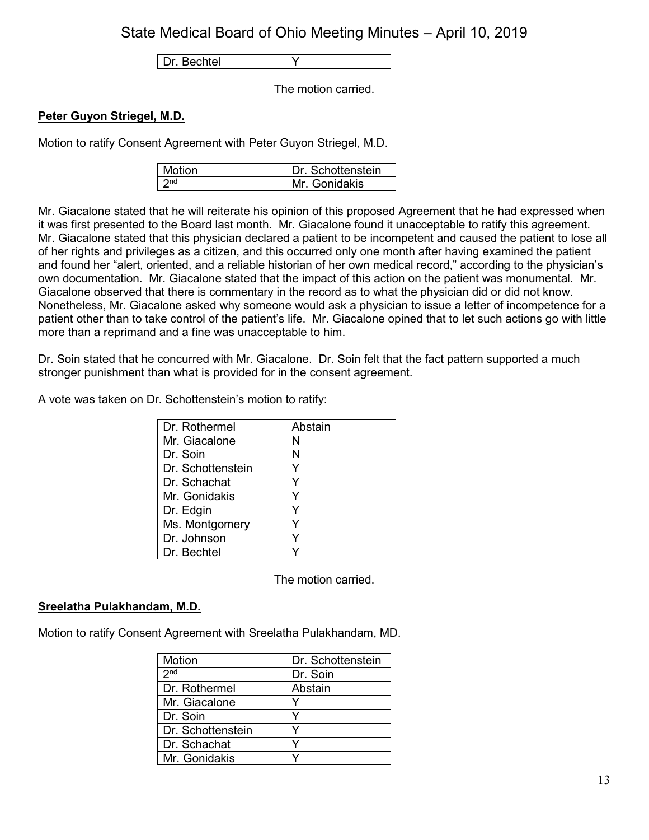Dr. Bechtel | Y

The motion carried.

## **Peter Guyon Striegel, M.D.**

Motion to ratify Consent Agreement with Peter Guyon Striegel, M.D.

| <b>Motion</b> | Dr Schottenstein |
|---------------|------------------|
|               | Mr Gonidakis     |

Mr. Giacalone stated that he will reiterate his opinion of this proposed Agreement that he had expressed when it was first presented to the Board last month. Mr. Giacalone found it unacceptable to ratify this agreement. Mr. Giacalone stated that this physician declared a patient to be incompetent and caused the patient to lose all of her rights and privileges as a citizen, and this occurred only one month after having examined the patient and found her "alert, oriented, and a reliable historian of her own medical record," according to the physician's own documentation. Mr. Giacalone stated that the impact of this action on the patient was monumental. Mr. Giacalone observed that there is commentary in the record as to what the physician did or did not know. Nonetheless, Mr. Giacalone asked why someone would ask a physician to issue a letter of incompetence for a patient other than to take control of the patient's life. Mr. Giacalone opined that to let such actions go with little more than a reprimand and a fine was unacceptable to him.

Dr. Soin stated that he concurred with Mr. Giacalone. Dr. Soin felt that the fact pattern supported a much stronger punishment than what is provided for in the consent agreement.

A vote was taken on Dr. Schottenstein's motion to ratify:

| Dr. Rothermel     | Abstain |
|-------------------|---------|
| Mr. Giacalone     | N       |
| Dr. Soin          | N       |
| Dr. Schottenstein |         |
| Dr. Schachat      |         |
| Mr. Gonidakis     |         |
| Dr. Edgin         |         |
| Ms. Montgomery    |         |
| Dr. Johnson       |         |
| Dr. Bechtel       |         |

The motion carried.

## **Sreelatha Pulakhandam, M.D.**

Motion to ratify Consent Agreement with Sreelatha Pulakhandam, MD.

| Motion            | Dr. Schottenstein |
|-------------------|-------------------|
| 2 <sub>nd</sub>   | Dr. Soin          |
| Dr. Rothermel     | Abstain           |
| Mr. Giacalone     |                   |
| Dr. Soin          |                   |
| Dr. Schottenstein |                   |
| Dr. Schachat      |                   |
| Mr. Gonidakis     |                   |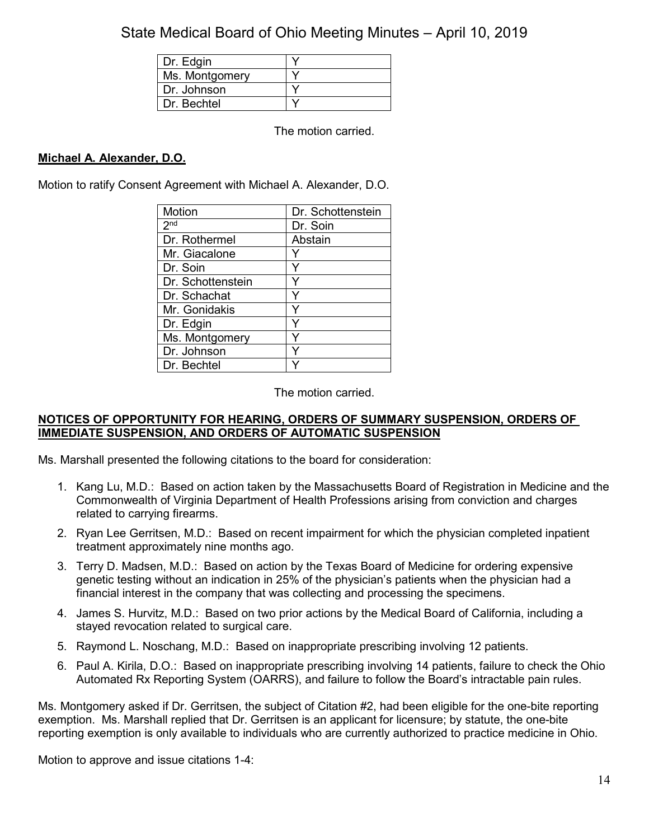| Dr. Edgin      |  |
|----------------|--|
| Ms. Montgomery |  |
| Dr. Johnson    |  |
| Dr Bechtel     |  |

The motion carried.

# **Michael A. Alexander, D.O.**

Motion to ratify Consent Agreement with Michael A. Alexander, D.O.

| Motion            | Dr. Schottenstein |
|-------------------|-------------------|
| 2 <sup>nd</sup>   | Dr. Soin          |
| Dr. Rothermel     | Abstain           |
| Mr. Giacalone     |                   |
| Dr. Soin          | Y                 |
| Dr. Schottenstein |                   |
| Dr. Schachat      | Y                 |
| Mr. Gonidakis     |                   |
| Dr. Edgin         |                   |
| Ms. Montgomery    |                   |
| Dr. Johnson       | Y                 |
| Dr. Bechtel       |                   |

The motion carried.

## **NOTICES OF OPPORTUNITY FOR HEARING, ORDERS OF SUMMARY SUSPENSION, ORDERS OF IMMEDIATE SUSPENSION, AND ORDERS OF AUTOMATIC SUSPENSION**

Ms. Marshall presented the following citations to the board for consideration:

- 1. Kang Lu, M.D.: Based on action taken by the Massachusetts Board of Registration in Medicine and the Commonwealth of Virginia Department of Health Professions arising from conviction and charges related to carrying firearms.
- 2. Ryan Lee Gerritsen, M.D.: Based on recent impairment for which the physician completed inpatient treatment approximately nine months ago.
- 3. Terry D. Madsen, M.D.: Based on action by the Texas Board of Medicine for ordering expensive genetic testing without an indication in 25% of the physician's patients when the physician had a financial interest in the company that was collecting and processing the specimens.
- 4. James S. Hurvitz, M.D.: Based on two prior actions by the Medical Board of California, including a stayed revocation related to surgical care.
- 5. Raymond L. Noschang, M.D.: Based on inappropriate prescribing involving 12 patients.
- 6. Paul A. Kirila, D.O.: Based on inappropriate prescribing involving 14 patients, failure to check the Ohio Automated Rx Reporting System (OARRS), and failure to follow the Board's intractable pain rules.

Ms. Montgomery asked if Dr. Gerritsen, the subject of Citation #2, had been eligible for the one-bite reporting exemption. Ms. Marshall replied that Dr. Gerritsen is an applicant for licensure; by statute, the one-bite reporting exemption is only available to individuals who are currently authorized to practice medicine in Ohio.

Motion to approve and issue citations 1-4: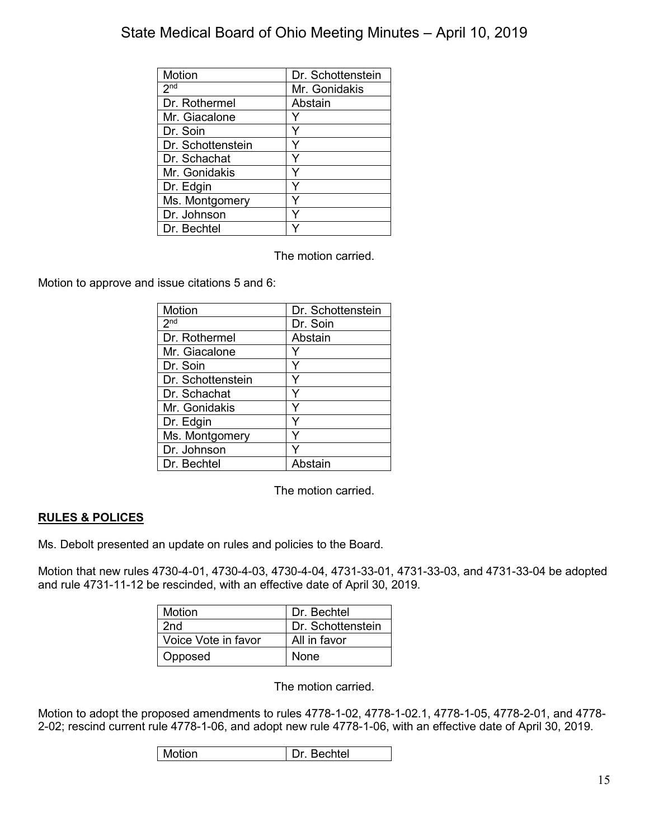| Motion            | Dr. Schottenstein |
|-------------------|-------------------|
| 2 <sub>nd</sub>   | Mr. Gonidakis     |
| Dr. Rothermel     | Abstain           |
| Mr. Giacalone     |                   |
| Dr. Soin          | Y                 |
| Dr. Schottenstein | Υ                 |
| Dr. Schachat      | Y                 |
| Mr. Gonidakis     | Y                 |
| Dr. Edgin         | Y                 |
| Ms. Montgomery    |                   |
| Dr. Johnson       |                   |
| Dr. Bechtel       |                   |

The motion carried.

Motion to approve and issue citations 5 and 6:

| <b>Motion</b>     | Dr. Schottenstein |
|-------------------|-------------------|
| 2 <sup>nd</sup>   | Dr. Soin          |
| Dr. Rothermel     | Abstain           |
| Mr. Giacalone     |                   |
| Dr. Soin          |                   |
| Dr. Schottenstein |                   |
| Dr. Schachat      | Y                 |
| Mr. Gonidakis     |                   |
| Dr. Edgin         | Y                 |
| Ms. Montgomery    | Y                 |
| Dr. Johnson       |                   |
| Dr. Bechtel       | Abstain           |

The motion carried.

# **RULES & POLICES**

Ms. Debolt presented an update on rules and policies to the Board.

Motion that new rules 4730-4-01, 4730-4-03, 4730-4-04, 4731-33-01, 4731-33-03, and 4731-33-04 be adopted and rule 4731-11-12 be rescinded, with an effective date of April 30, 2019.

| Motion              | Dr. Bechtel       |
|---------------------|-------------------|
| 2nd                 | Dr. Schottenstein |
| Voice Vote in favor | All in favor      |
| Opposed             | None              |

The motion carried.

Motion to adopt the proposed amendments to rules 4778-1-02, 4778-1-02.1, 4778-1-05, 4778-2-01, and 4778- 2-02; rescind current rule 4778-1-06, and adopt new rule 4778-1-06, with an effective date of April 30, 2019.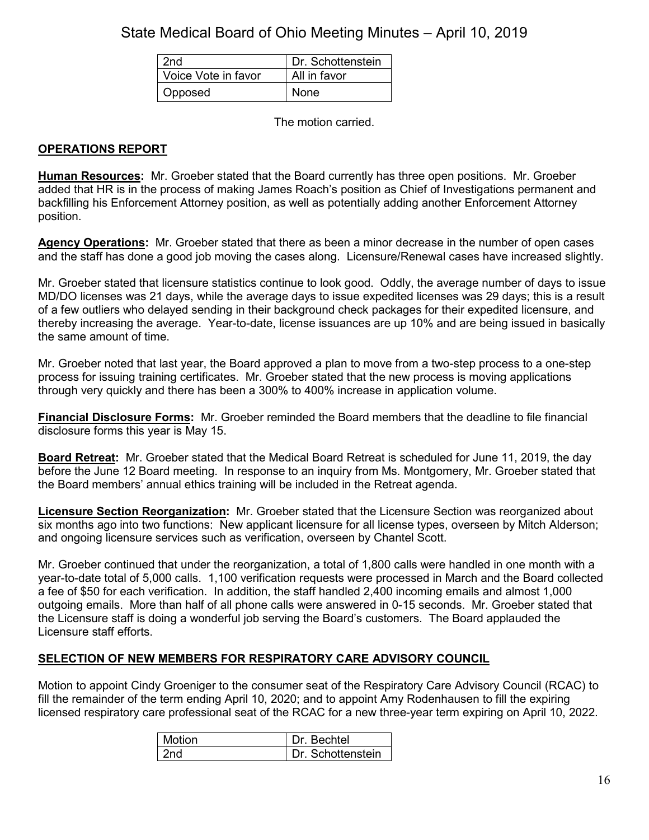| 2 <sub>nd</sub>     | Dr. Schottenstein |
|---------------------|-------------------|
| Voice Vote in favor | All in favor      |
| Opposed             | None              |

The motion carried.

## **OPERATIONS REPORT**

**Human Resources:** Mr. Groeber stated that the Board currently has three open positions. Mr. Groeber added that HR is in the process of making James Roach's position as Chief of Investigations permanent and backfilling his Enforcement Attorney position, as well as potentially adding another Enforcement Attorney position.

**Agency Operations:** Mr. Groeber stated that there as been a minor decrease in the number of open cases and the staff has done a good job moving the cases along. Licensure/Renewal cases have increased slightly.

Mr. Groeber stated that licensure statistics continue to look good. Oddly, the average number of days to issue MD/DO licenses was 21 days, while the average days to issue expedited licenses was 29 days; this is a result of a few outliers who delayed sending in their background check packages for their expedited licensure, and thereby increasing the average. Year-to-date, license issuances are up 10% and are being issued in basically the same amount of time.

Mr. Groeber noted that last year, the Board approved a plan to move from a two-step process to a one-step process for issuing training certificates. Mr. Groeber stated that the new process is moving applications through very quickly and there has been a 300% to 400% increase in application volume.

**Financial Disclosure Forms:** Mr. Groeber reminded the Board members that the deadline to file financial disclosure forms this year is May 15.

**Board Retreat:** Mr. Groeber stated that the Medical Board Retreat is scheduled for June 11, 2019, the day before the June 12 Board meeting. In response to an inquiry from Ms. Montgomery, Mr. Groeber stated that the Board members' annual ethics training will be included in the Retreat agenda.

**Licensure Section Reorganization:** Mr. Groeber stated that the Licensure Section was reorganized about six months ago into two functions: New applicant licensure for all license types, overseen by Mitch Alderson; and ongoing licensure services such as verification, overseen by Chantel Scott.

Mr. Groeber continued that under the reorganization, a total of 1,800 calls were handled in one month with a year-to-date total of 5,000 calls. 1,100 verification requests were processed in March and the Board collected a fee of \$50 for each verification. In addition, the staff handled 2,400 incoming emails and almost 1,000 outgoing emails. More than half of all phone calls were answered in 0-15 seconds. Mr. Groeber stated that the Licensure staff is doing a wonderful job serving the Board's customers. The Board applauded the Licensure staff efforts.

# **SELECTION OF NEW MEMBERS FOR RESPIRATORY CARE ADVISORY COUNCIL**

Motion to appoint Cindy Groeniger to the consumer seat of the Respiratory Care Advisory Council (RCAC) to fill the remainder of the term ending April 10, 2020; and to appoint Amy Rodenhausen to fill the expiring licensed respiratory care professional seat of the RCAC for a new three-year term expiring on April 10, 2022.

| Motion | Dr. Bechtel       |
|--------|-------------------|
| 2nd    | Dr. Schottenstein |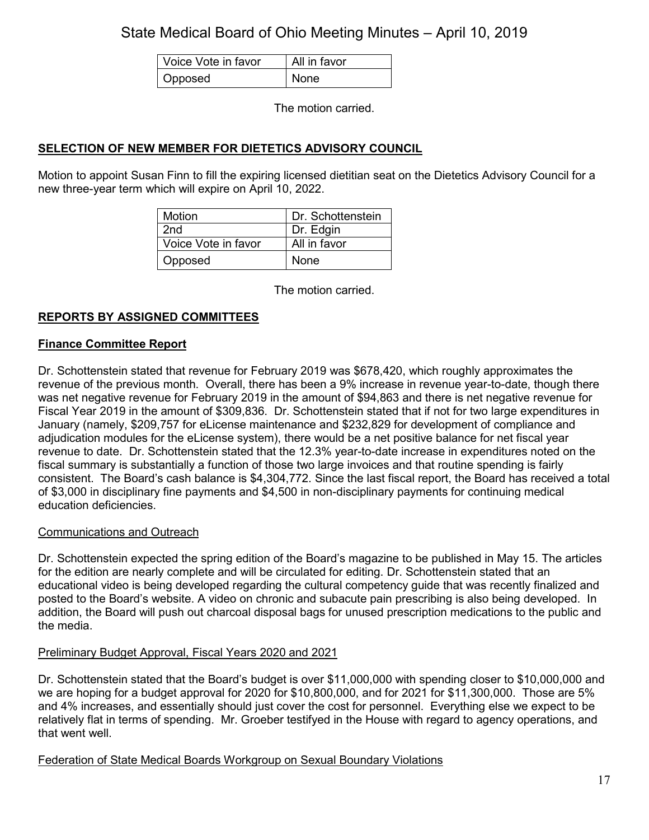| Voice Vote in favor | All in favor |
|---------------------|--------------|
| Opposed             | None         |

The motion carried.

# **SELECTION OF NEW MEMBER FOR DIETETICS ADVISORY COUNCIL**

Motion to appoint Susan Finn to fill the expiring licensed dietitian seat on the Dietetics Advisory Council for a new three-year term which will expire on April 10, 2022.

| Motion              | Dr. Schottenstein |
|---------------------|-------------------|
| 2 <sub>nd</sub>     | Dr. Edgin         |
| Voice Vote in favor | All in favor      |
| Opposed             | None              |

The motion carried.

## **REPORTS BY ASSIGNED COMMITTEES**

## **Finance Committee Report**

Dr. Schottenstein stated that revenue for February 2019 was \$678,420, which roughly approximates the revenue of the previous month. Overall, there has been a 9% increase in revenue year-to-date, though there was net negative revenue for February 2019 in the amount of \$94,863 and there is net negative revenue for Fiscal Year 2019 in the amount of \$309,836. Dr. Schottenstein stated that if not for two large expenditures in January (namely, \$209,757 for eLicense maintenance and \$232,829 for development of compliance and adjudication modules for the eLicense system), there would be a net positive balance for net fiscal year revenue to date. Dr. Schottenstein stated that the 12.3% year-to-date increase in expenditures noted on the fiscal summary is substantially a function of those two large invoices and that routine spending is fairly consistent. The Board's cash balance is \$4,304,772. Since the last fiscal report, the Board has received a total of \$3,000 in disciplinary fine payments and \$4,500 in non-disciplinary payments for continuing medical education deficiencies.

#### Communications and Outreach

Dr. Schottenstein expected the spring edition of the Board's magazine to be published in May 15. The articles for the edition are nearly complete and will be circulated for editing. Dr. Schottenstein stated that an educational video is being developed regarding the cultural competency guide that was recently finalized and posted to the Board's website. A video on chronic and subacute pain prescribing is also being developed. In addition, the Board will push out charcoal disposal bags for unused prescription medications to the public and the media.

## Preliminary Budget Approval, Fiscal Years 2020 and 2021

Dr. Schottenstein stated that the Board's budget is over \$11,000,000 with spending closer to \$10,000,000 and we are hoping for a budget approval for 2020 for \$10,800,000, and for 2021 for \$11,300,000. Those are 5% and 4% increases, and essentially should just cover the cost for personnel. Everything else we expect to be relatively flat in terms of spending. Mr. Groeber testifyed in the House with regard to agency operations, and that went well.

## Federation of State Medical Boards Workgroup on Sexual Boundary Violations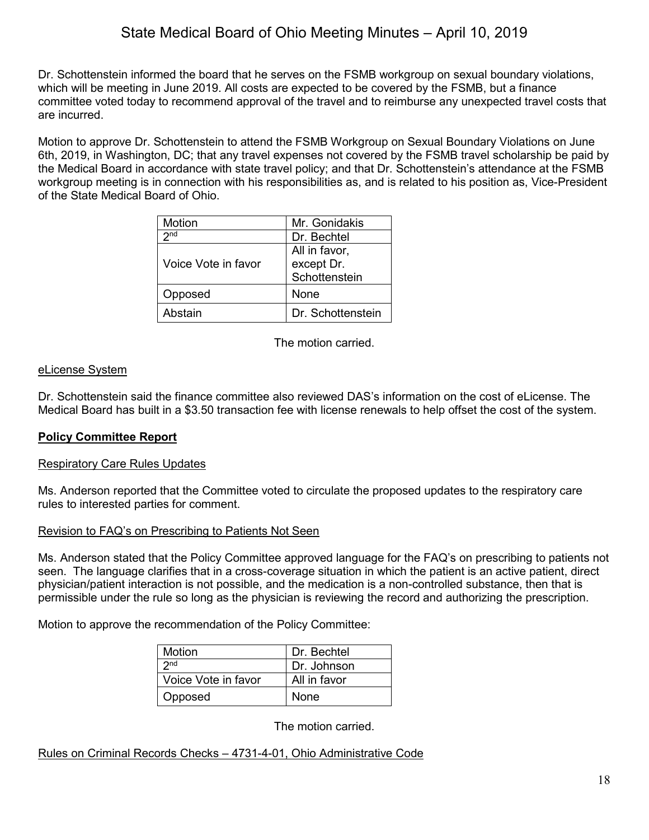Dr. Schottenstein informed the board that he serves on the FSMB workgroup on sexual boundary violations, which will be meeting in June 2019. All costs are expected to be covered by the FSMB, but a finance committee voted today to recommend approval of the travel and to reimburse any unexpected travel costs that are incurred.

Motion to approve Dr. Schottenstein to attend the FSMB Workgroup on Sexual Boundary Violations on June 6th, 2019, in Washington, DC; that any travel expenses not covered by the FSMB travel scholarship be paid by the Medical Board in accordance with state travel policy; and that Dr. Schottenstein's attendance at the FSMB workgroup meeting is in connection with his responsibilities as, and is related to his position as, Vice-President of the State Medical Board of Ohio.

| Motion              | Mr. Gonidakis                                |
|---------------------|----------------------------------------------|
| 2 <sub>nd</sub>     | Dr. Bechtel                                  |
| Voice Vote in favor | All in favor,<br>except Dr.<br>Schottenstein |
| Opposed             | None                                         |
| Abstain             | Dr. Schottenstein                            |

The motion carried.

## eLicense System

Dr. Schottenstein said the finance committee also reviewed DAS's information on the cost of eLicense. The Medical Board has built in a \$3.50 transaction fee with license renewals to help offset the cost of the system.

# **Policy Committee Report**

## Respiratory Care Rules Updates

Ms. Anderson reported that the Committee voted to circulate the proposed updates to the respiratory care rules to interested parties for comment.

## Revision to FAQ's on Prescribing to Patients Not Seen

Ms. Anderson stated that the Policy Committee approved language for the FAQ's on prescribing to patients not seen. The language clarifies that in a cross-coverage situation in which the patient is an active patient, direct physician/patient interaction is not possible, and the medication is a non-controlled substance, then that is permissible under the rule so long as the physician is reviewing the record and authorizing the prescription.

Motion to approve the recommendation of the Policy Committee:

| Motion              | Dr. Bechtel  |
|---------------------|--------------|
| 2n <sub>d</sub>     | Dr. Johnson  |
| Voice Vote in favor | All in favor |
| Opposed             | <b>None</b>  |

The motion carried.

## Rules on Criminal Records Checks – 4731-4-01, Ohio Administrative Code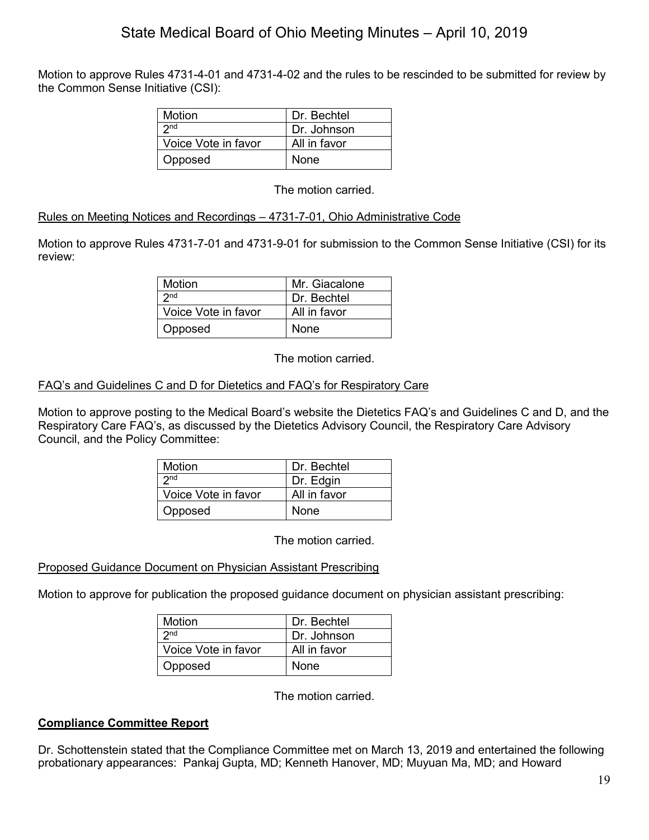Motion to approve Rules 4731-4-01 and 4731-4-02 and the rules to be rescinded to be submitted for review by the Common Sense Initiative (CSI):

| Motion              | Dr. Bechtel  |
|---------------------|--------------|
| 2 <sub>nd</sub>     | Dr. Johnson  |
| Voice Vote in favor | All in favor |
| Opposed             | <b>None</b>  |

The motion carried.

## Rules on Meeting Notices and Recordings – 4731-7-01, Ohio Administrative Code

Motion to approve Rules 4731-7-01 and 4731-9-01 for submission to the Common Sense Initiative (CSI) for its review:

| Motion              | Mr. Giacalone |
|---------------------|---------------|
| $2n$ d              | Dr. Bechtel   |
| Voice Vote in favor | All in favor  |
| Opposed             | <b>None</b>   |

The motion carried.

## FAQ's and Guidelines C and D for Dietetics and FAQ's for Respiratory Care

Motion to approve posting to the Medical Board's website the Dietetics FAQ's and Guidelines C and D, and the Respiratory Care FAQ's, as discussed by the Dietetics Advisory Council, the Respiratory Care Advisory Council, and the Policy Committee:

| Motion              | Dr. Bechtel  |
|---------------------|--------------|
| 2 <sub>nd</sub>     | Dr. Edgin    |
| Voice Vote in favor | All in favor |
| Opposed             | <b>None</b>  |

The motion carried.

## Proposed Guidance Document on Physician Assistant Prescribing

Motion to approve for publication the proposed guidance document on physician assistant prescribing:

| Motion              | Dr. Bechtel  |
|---------------------|--------------|
| 2 <sub>nd</sub>     | Dr. Johnson  |
| Voice Vote in favor | All in favor |
| Opposed             | None         |

The motion carried.

## **Compliance Committee Report**

Dr. Schottenstein stated that the Compliance Committee met on March 13, 2019 and entertained the following probationary appearances: Pankaj Gupta, MD; Kenneth Hanover, MD; Muyuan Ma, MD; and Howard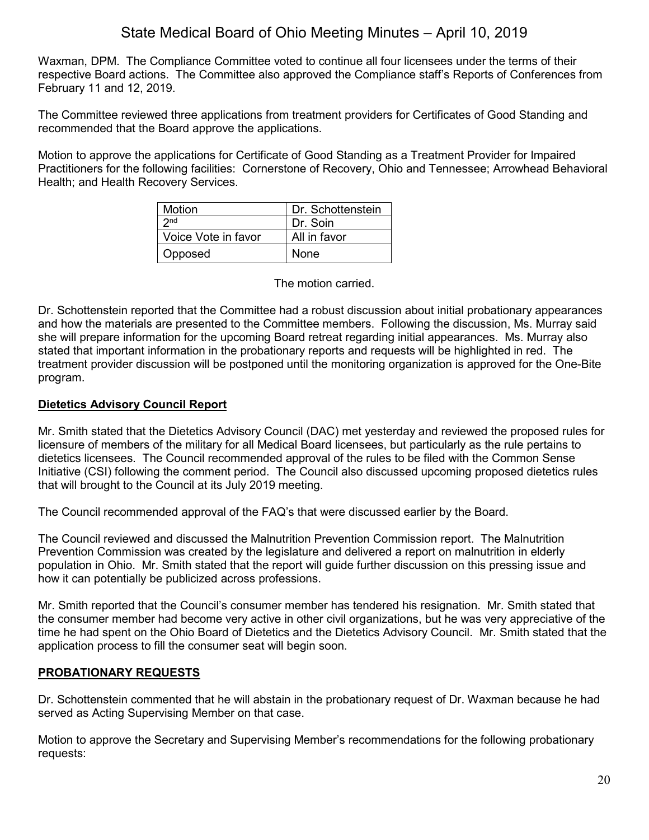Waxman, DPM. The Compliance Committee voted to continue all four licensees under the terms of their respective Board actions. The Committee also approved the Compliance staff's Reports of Conferences from February 11 and 12, 2019.

The Committee reviewed three applications from treatment providers for Certificates of Good Standing and recommended that the Board approve the applications.

Motion to approve the applications for Certificate of Good Standing as a Treatment Provider for Impaired Practitioners for the following facilities: Cornerstone of Recovery, Ohio and Tennessee; Arrowhead Behavioral Health; and Health Recovery Services.

| <b>Motion</b>       | Dr. Schottenstein |
|---------------------|-------------------|
| $2n$ d              | Dr. Soin          |
| Voice Vote in favor | All in favor      |
| Opposed             | None              |

The motion carried.

Dr. Schottenstein reported that the Committee had a robust discussion about initial probationary appearances and how the materials are presented to the Committee members. Following the discussion, Ms. Murray said she will prepare information for the upcoming Board retreat regarding initial appearances. Ms. Murray also stated that important information in the probationary reports and requests will be highlighted in red. The treatment provider discussion will be postponed until the monitoring organization is approved for the One-Bite program.

## **Dietetics Advisory Council Report**

Mr. Smith stated that the Dietetics Advisory Council (DAC) met yesterday and reviewed the proposed rules for licensure of members of the military for all Medical Board licensees, but particularly as the rule pertains to dietetics licensees. The Council recommended approval of the rules to be filed with the Common Sense Initiative (CSI) following the comment period. The Council also discussed upcoming proposed dietetics rules that will brought to the Council at its July 2019 meeting.

The Council recommended approval of the FAQ's that were discussed earlier by the Board.

The Council reviewed and discussed the Malnutrition Prevention Commission report. The Malnutrition Prevention Commission was created by the legislature and delivered a report on malnutrition in elderly population in Ohio. Mr. Smith stated that the report will guide further discussion on this pressing issue and how it can potentially be publicized across professions.

Mr. Smith reported that the Council's consumer member has tendered his resignation. Mr. Smith stated that the consumer member had become very active in other civil organizations, but he was very appreciative of the time he had spent on the Ohio Board of Dietetics and the Dietetics Advisory Council. Mr. Smith stated that the application process to fill the consumer seat will begin soon.

# **PROBATIONARY REQUESTS**

Dr. Schottenstein commented that he will abstain in the probationary request of Dr. Waxman because he had served as Acting Supervising Member on that case.

Motion to approve the Secretary and Supervising Member's recommendations for the following probationary requests: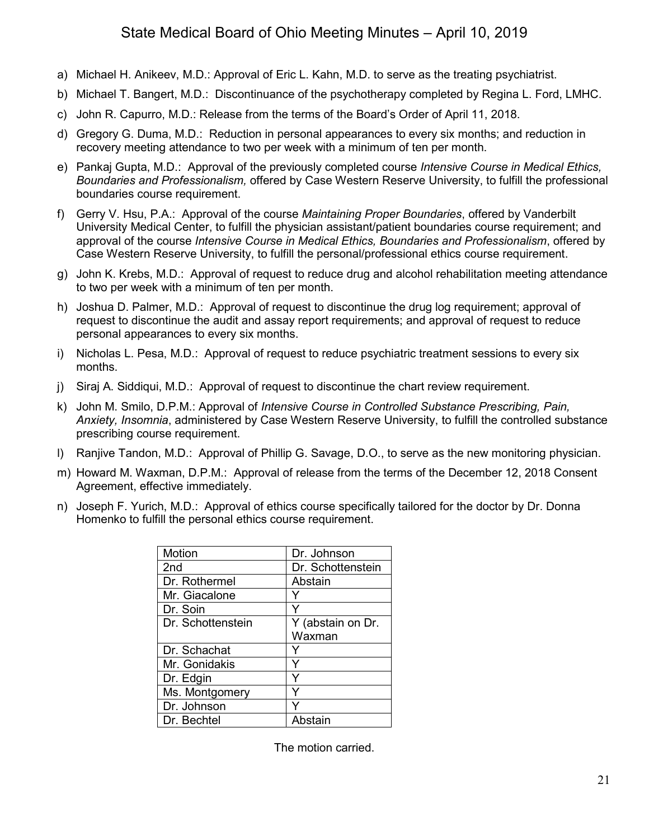- a) Michael H. Anikeev, M.D.: Approval of Eric L. Kahn, M.D. to serve as the treating psychiatrist.
- b) Michael T. Bangert, M.D.: Discontinuance of the psychotherapy completed by Regina L. Ford, LMHC.
- c) John R. Capurro, M.D.: Release from the terms of the Board's Order of April 11, 2018.
- d) Gregory G. Duma, M.D.: Reduction in personal appearances to every six months; and reduction in recovery meeting attendance to two per week with a minimum of ten per month.
- e) Pankaj Gupta, M.D.: Approval of the previously completed course *Intensive Course in Medical Ethics, Boundaries and Professionalism,* offered by Case Western Reserve University, to fulfill the professional boundaries course requirement.
- f) Gerry V. Hsu, P.A.: Approval of the course *Maintaining Proper Boundaries*, offered by Vanderbilt University Medical Center, to fulfill the physician assistant/patient boundaries course requirement; and approval of the course *Intensive Course in Medical Ethics, Boundaries and Professionalism*, offered by Case Western Reserve University, to fulfill the personal/professional ethics course requirement.
- g) John K. Krebs, M.D.: Approval of request to reduce drug and alcohol rehabilitation meeting attendance to two per week with a minimum of ten per month.
- h) Joshua D. Palmer, M.D.: Approval of request to discontinue the drug log requirement; approval of request to discontinue the audit and assay report requirements; and approval of request to reduce personal appearances to every six months.
- i) Nicholas L. Pesa, M.D.: Approval of request to reduce psychiatric treatment sessions to every six months.
- j) Siraj A. Siddiqui, M.D.: Approval of request to discontinue the chart review requirement.
- k) John M. Smilo, D.P.M.: Approval of *Intensive Course in Controlled Substance Prescribing, Pain, Anxiety, Insomnia*, administered by Case Western Reserve University, to fulfill the controlled substance prescribing course requirement.
- l) Ranjive Tandon, M.D.: Approval of Phillip G. Savage, D.O., to serve as the new monitoring physician.
- m) Howard M. Waxman, D.P.M.: Approval of release from the terms of the December 12, 2018 Consent Agreement, effective immediately.
- n) Joseph F. Yurich, M.D.: Approval of ethics course specifically tailored for the doctor by Dr. Donna Homenko to fulfill the personal ethics course requirement.

| Motion            | Dr. Johnson       |
|-------------------|-------------------|
| 2nd               | Dr. Schottenstein |
| Dr. Rothermel     | Abstain           |
| Mr. Giacalone     |                   |
| Dr. Soin          |                   |
| Dr. Schottenstein | Y (abstain on Dr. |
|                   | Waxman            |
| Dr. Schachat      |                   |
| Mr. Gonidakis     |                   |
| Dr. Edgin         |                   |
| Ms. Montgomery    |                   |
| Dr. Johnson       |                   |
| Dr. Bechtel       | Abstain           |
|                   |                   |

The motion carried.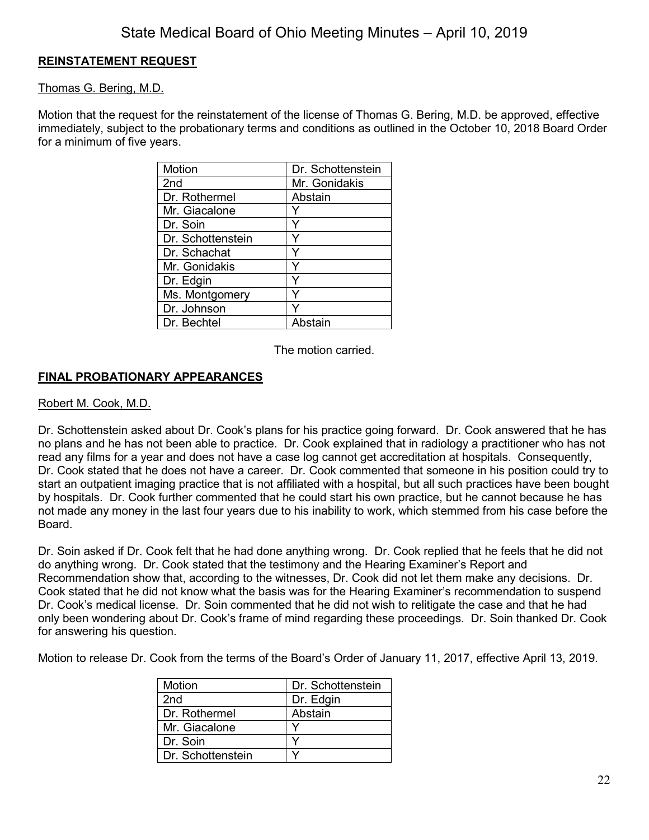# **REINSTATEMENT REQUEST**

## Thomas G. Bering, M.D.

Motion that the request for the reinstatement of the license of Thomas G. Bering, M.D. be approved, effective immediately, subject to the probationary terms and conditions as outlined in the October 10, 2018 Board Order for a minimum of five years.

| Motion            | Dr. Schottenstein |
|-------------------|-------------------|
| 2nd               | Mr. Gonidakis     |
| Dr. Rothermel     | Abstain           |
| Mr. Giacalone     |                   |
| Dr. Soin          |                   |
| Dr. Schottenstein | Y                 |
| Dr. Schachat      |                   |
| Mr. Gonidakis     | Y                 |
| Dr. Edgin         |                   |
| Ms. Montgomery    | ٧                 |
| Dr. Johnson       |                   |
| Dr. Bechtel       | Abstain           |

The motion carried.

## **FINAL PROBATIONARY APPEARANCES**

#### Robert M. Cook, M.D.

Dr. Schottenstein asked about Dr. Cook's plans for his practice going forward. Dr. Cook answered that he has no plans and he has not been able to practice. Dr. Cook explained that in radiology a practitioner who has not read any films for a year and does not have a case log cannot get accreditation at hospitals. Consequently, Dr. Cook stated that he does not have a career. Dr. Cook commented that someone in his position could try to start an outpatient imaging practice that is not affiliated with a hospital, but all such practices have been bought by hospitals. Dr. Cook further commented that he could start his own practice, but he cannot because he has not made any money in the last four years due to his inability to work, which stemmed from his case before the Board.

Dr. Soin asked if Dr. Cook felt that he had done anything wrong. Dr. Cook replied that he feels that he did not do anything wrong. Dr. Cook stated that the testimony and the Hearing Examiner's Report and Recommendation show that, according to the witnesses, Dr. Cook did not let them make any decisions. Dr. Cook stated that he did not know what the basis was for the Hearing Examiner's recommendation to suspend Dr. Cook's medical license. Dr. Soin commented that he did not wish to relitigate the case and that he had only been wondering about Dr. Cook's frame of mind regarding these proceedings. Dr. Soin thanked Dr. Cook for answering his question.

Motion to release Dr. Cook from the terms of the Board's Order of January 11, 2017, effective April 13, 2019.

| <b>Motion</b>     | Dr. Schottenstein |
|-------------------|-------------------|
| 2 <sub>nd</sub>   | Dr. Edgin         |
| Dr. Rothermel     | Abstain           |
| Mr. Giacalone     |                   |
| Dr. Soin          |                   |
| Dr. Schottenstein |                   |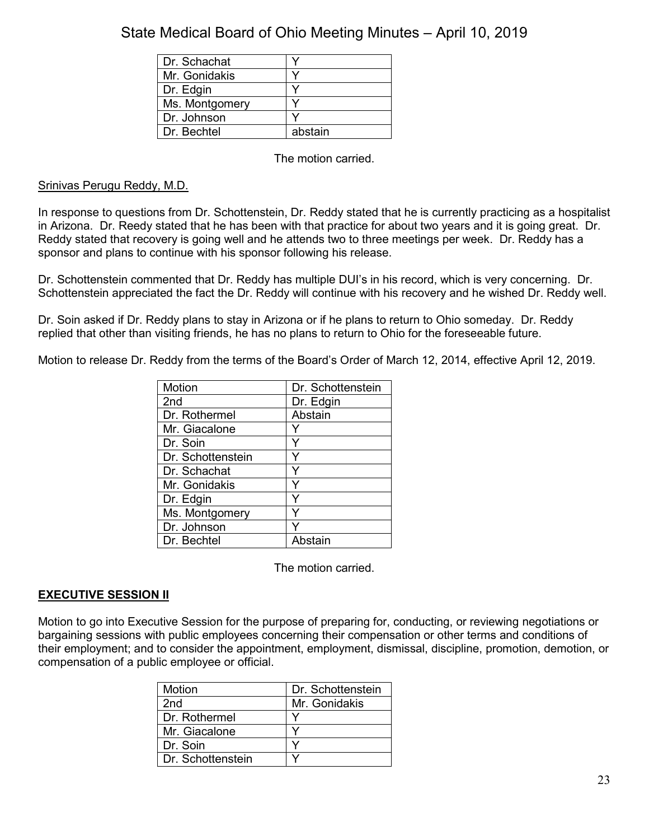| Dr. Schachat   |         |
|----------------|---------|
| Mr. Gonidakis  |         |
| Dr. Edgin      |         |
| Ms. Montgomery |         |
| Dr. Johnson    |         |
| Dr. Bechtel    | abstain |

The motion carried.

## Srinivas Perugu Reddy, M.D.

In response to questions from Dr. Schottenstein, Dr. Reddy stated that he is currently practicing as a hospitalist in Arizona. Dr. Reedy stated that he has been with that practice for about two years and it is going great. Dr. Reddy stated that recovery is going well and he attends two to three meetings per week. Dr. Reddy has a sponsor and plans to continue with his sponsor following his release.

Dr. Schottenstein commented that Dr. Reddy has multiple DUI's in his record, which is very concerning. Dr. Schottenstein appreciated the fact the Dr. Reddy will continue with his recovery and he wished Dr. Reddy well.

Dr. Soin asked if Dr. Reddy plans to stay in Arizona or if he plans to return to Ohio someday. Dr. Reddy replied that other than visiting friends, he has no plans to return to Ohio for the foreseeable future.

Motion to release Dr. Reddy from the terms of the Board's Order of March 12, 2014, effective April 12, 2019.

| Motion            | Dr. Schottenstein |
|-------------------|-------------------|
| 2 <sub>nd</sub>   | Dr. Edgin         |
| Dr. Rothermel     | Abstain           |
| Mr. Giacalone     |                   |
| Dr. Soin          | Y                 |
| Dr. Schottenstein |                   |
| Dr. Schachat      |                   |
| Mr. Gonidakis     |                   |
| Dr. Edgin         | ٧                 |
| Ms. Montgomery    |                   |
| Dr. Johnson       |                   |
| Dr. Bechtel       | Abstain           |

The motion carried.

## **EXECUTIVE SESSION II**

Motion to go into Executive Session for the purpose of preparing for, conducting, or reviewing negotiations or bargaining sessions with public employees concerning their compensation or other terms and conditions of their employment; and to consider the appointment, employment, dismissal, discipline, promotion, demotion, or compensation of a public employee or official.

| Motion            | Dr. Schottenstein |
|-------------------|-------------------|
| 2nd               | Mr. Gonidakis     |
| Dr. Rothermel     |                   |
| Mr. Giacalone     |                   |
| Dr. Soin          |                   |
| Dr. Schottenstein |                   |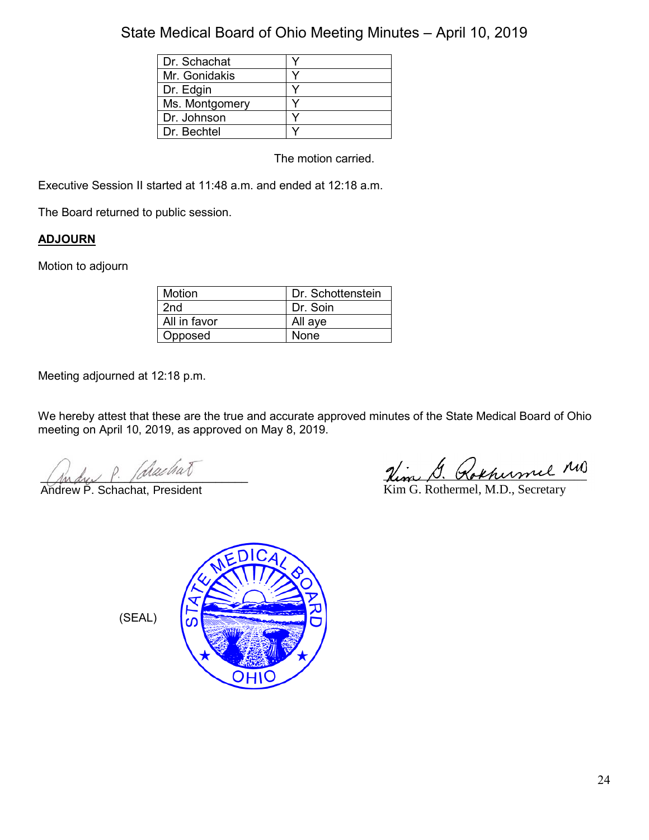| Dr. Schachat   |  |
|----------------|--|
| Mr. Gonidakis  |  |
| Dr. Edgin      |  |
| Ms. Montgomery |  |
| Dr. Johnson    |  |
| Dr. Bechtel    |  |

The motion carried.

Executive Session II started at 11:48 a.m. and ended at 12:18 a.m.

The Board returned to public session.

# **ADJOURN**

Motion to adjourn

| Motion       | Dr. Schottenstein |
|--------------|-------------------|
| 2nd          | Dr. Soin          |
| All in favor | All aye           |
| Opposed      | None              |

Meeting adjourned at 12:18 p.m.

We hereby attest that these are the true and accurate approved minutes of the State Medical Board of Ohio meeting on April 10, 2019, as approved on May 8, 2019.

 $\mu_{\rm max}$  . farming

Andrew P. Schachat, President

 $\psi_{\rm max}$ , G. Rokhumel MB

Kim G. Rothermel, M.D., Secretary

(SEAL)

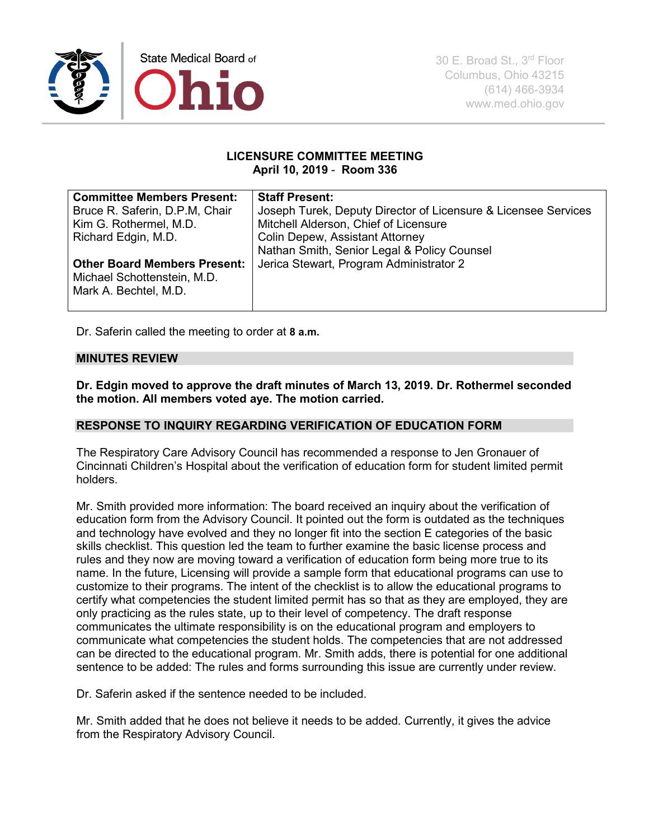

#### **LICENSURE COMMITTEE MEETING April 10, 2019** - **Room 336**

| <b>Committee Members Present:</b>   | <b>Staff Present:</b>                                          |
|-------------------------------------|----------------------------------------------------------------|
| Bruce R. Saferin, D.P.M. Chair      | Joseph Turek, Deputy Director of Licensure & Licensee Services |
| Kim G. Rothermel, M.D.              | Mitchell Alderson, Chief of Licensure                          |
| Richard Edgin, M.D.                 | <b>Colin Depew, Assistant Attorney</b>                         |
|                                     | Nathan Smith, Senior Legal & Policy Counsel                    |
| <b>Other Board Members Present:</b> | Jerica Stewart, Program Administrator 2                        |
| Michael Schottenstein, M.D.         |                                                                |
| Mark A. Bechtel, M.D.               |                                                                |
|                                     |                                                                |

Dr. Saferin called the meeting to order at **8 a.m.** 

#### **MINUTES REVIEW**

**Dr. Edgin moved to approve the draft minutes of March 13, 2019. Dr. Rothermel seconded the motion. All members voted aye. The motion carried.**

#### **RESPONSE TO INQUIRY REGARDING VERIFICATION OF EDUCATION FORM**

The Respiratory Care Advisory Council has recommended a response to Jen Gronauer of Cincinnati Children's Hospital about the verification of education form for student limited permit holders.

Mr. Smith provided more information: The board received an inquiry about the verification of education form from the Advisory Council. It pointed out the form is outdated as the techniques and technology have evolved and they no longer fit into the section E categories of the basic skills checklist. This question led the team to further examine the basic license process and rules and they now are moving toward a verification of education form being more true to its name. In the future, Licensing will provide a sample form that educational programs can use to customize to their programs. The intent of the checklist is to allow the educational programs to certify what competencies the student limited permit has so that as they are employed, they are only practicing as the rules state, up to their level of competency. The draft response communicates the ultimate responsibility is on the educational program and employers to communicate what competencies the student holds. The competencies that are not addressed can be directed to the educational program. Mr. Smith adds, there is potential for one additional sentence to be added: The rules and forms surrounding this issue are currently under review.

Dr. Saferin asked if the sentence needed to be included.

Mr. Smith added that he does not believe it needs to be added. Currently, it gives the advice from the Respiratory Advisory Council.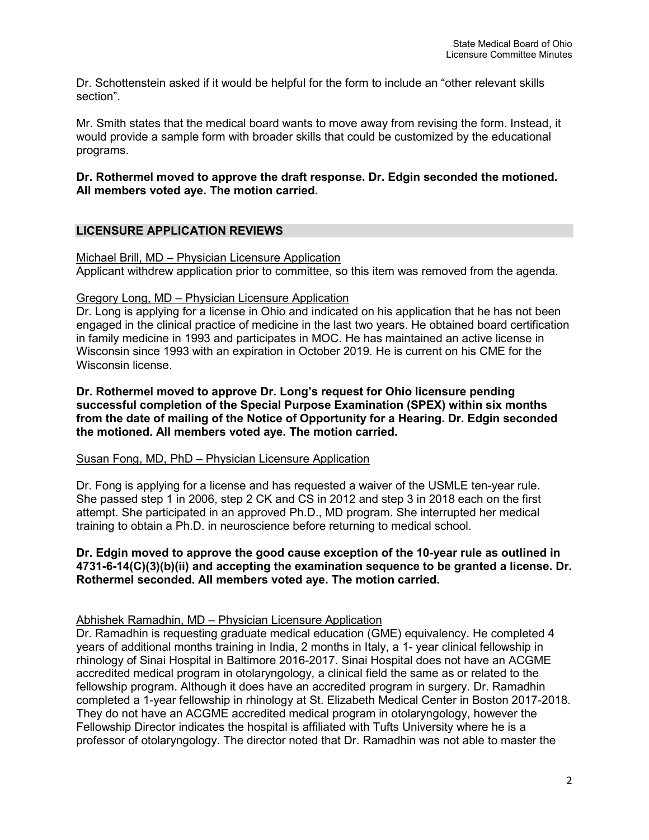Dr. Schottenstein asked if it would be helpful for the form to include an "other relevant skills section".

Mr. Smith states that the medical board wants to move away from revising the form. Instead, it would provide a sample form with broader skills that could be customized by the educational programs.

## **Dr. Rothermel moved to approve the draft response. Dr. Edgin seconded the motioned. All members voted aye. The motion carried.**

# **LICENSURE APPLICATION REVIEWS**

#### Michael Brill, MD – Physician Licensure Application

Applicant withdrew application prior to committee, so this item was removed from the agenda.

#### Gregory Long, MD – Physician Licensure Application

Dr. Long is applying for a license in Ohio and indicated on his application that he has not been engaged in the clinical practice of medicine in the last two years. He obtained board certification in family medicine in 1993 and participates in MOC. He has maintained an active license in Wisconsin since 1993 with an expiration in October 2019. He is current on his CME for the Wisconsin license.

**Dr. Rothermel moved to approve Dr. Long's request for Ohio licensure pending successful completion of the Special Purpose Examination (SPEX) within six months from the date of mailing of the Notice of Opportunity for a Hearing. Dr. Edgin seconded the motioned. All members voted aye. The motion carried.** 

#### Susan Fong, MD, PhD – Physician Licensure Application

Dr. Fong is applying for a license and has requested a waiver of the USMLE ten-year rule. She passed step 1 in 2006, step 2 CK and CS in 2012 and step 3 in 2018 each on the first attempt. She participated in an approved Ph.D., MD program. She interrupted her medical training to obtain a Ph.D. in neuroscience before returning to medical school.

#### **Dr. Edgin moved to approve the good cause exception of the 10-year rule as outlined in 4731-6-14(C)(3)(b)(ii) and accepting the examination sequence to be granted a license. Dr. Rothermel seconded. All members voted aye. The motion carried.**

## Abhishek Ramadhin, MD – Physician Licensure Application

Dr. Ramadhin is requesting graduate medical education (GME) equivalency. He completed 4 years of additional months training in India, 2 months in Italy, a 1- year clinical fellowship in rhinology of Sinai Hospital in Baltimore 2016-2017. Sinai Hospital does not have an ACGME accredited medical program in otolaryngology, a clinical field the same as or related to the fellowship program. Although it does have an accredited program in surgery. Dr. Ramadhin completed a 1-year fellowship in rhinology at St. Elizabeth Medical Center in Boston 2017-2018. They do not have an ACGME accredited medical program in otolaryngology, however the Fellowship Director indicates the hospital is affiliated with Tufts University where he is a professor of otolaryngology. The director noted that Dr. Ramadhin was not able to master the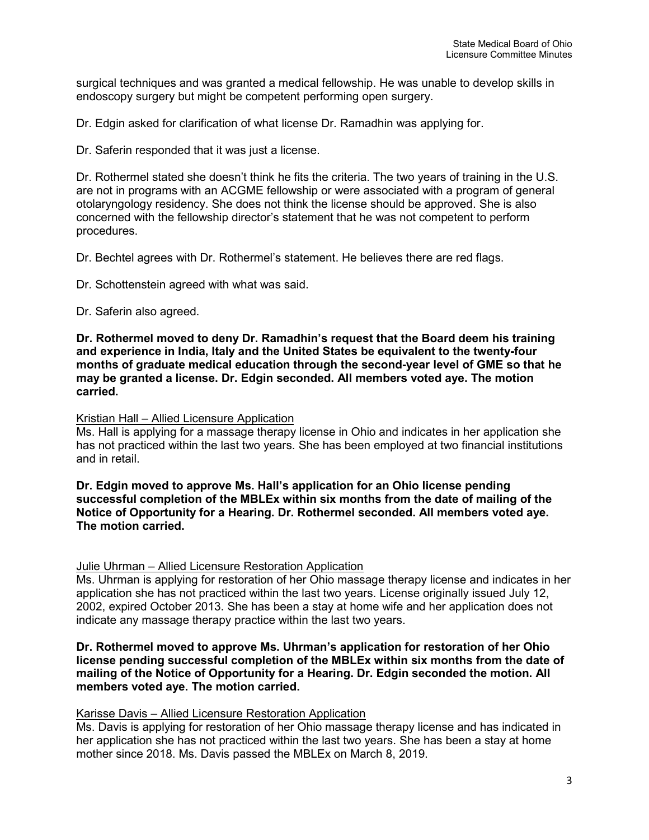surgical techniques and was granted a medical fellowship. He was unable to develop skills in endoscopy surgery but might be competent performing open surgery.

Dr. Edgin asked for clarification of what license Dr. Ramadhin was applying for.

Dr. Saferin responded that it was just a license.

Dr. Rothermel stated she doesn't think he fits the criteria. The two years of training in the U.S. are not in programs with an ACGME fellowship or were associated with a program of general otolaryngology residency. She does not think the license should be approved. She is also concerned with the fellowship director's statement that he was not competent to perform procedures.

Dr. Bechtel agrees with Dr. Rothermel's statement. He believes there are red flags.

Dr. Schottenstein agreed with what was said.

Dr. Saferin also agreed.

**Dr. Rothermel moved to deny Dr. Ramadhin's request that the Board deem his training and experience in India, Italy and the United States be equivalent to the twenty-four months of graduate medical education through the second-year level of GME so that he may be granted a license. Dr. Edgin seconded. All members voted aye. The motion carried.** 

#### Kristian Hall – Allied Licensure Application

Ms. Hall is applying for a massage therapy license in Ohio and indicates in her application she has not practiced within the last two years. She has been employed at two financial institutions and in retail.

**Dr. Edgin moved to approve Ms. Hall's application for an Ohio license pending successful completion of the MBLEx within six months from the date of mailing of the Notice of Opportunity for a Hearing. Dr. Rothermel seconded. All members voted aye. The motion carried.** 

#### Julie Uhrman – Allied Licensure Restoration Application

Ms. Uhrman is applying for restoration of her Ohio massage therapy license and indicates in her application she has not practiced within the last two years. License originally issued July 12, 2002, expired October 2013. She has been a stay at home wife and her application does not indicate any massage therapy practice within the last two years.

#### **Dr. Rothermel moved to approve Ms. Uhrman's application for restoration of her Ohio license pending successful completion of the MBLEx within six months from the date of mailing of the Notice of Opportunity for a Hearing. Dr. Edgin seconded the motion. All members voted aye. The motion carried.**

#### Karisse Davis – Allied Licensure Restoration Application

Ms. Davis is applying for restoration of her Ohio massage therapy license and has indicated in her application she has not practiced within the last two years. She has been a stay at home mother since 2018. Ms. Davis passed the MBLEx on March 8, 2019.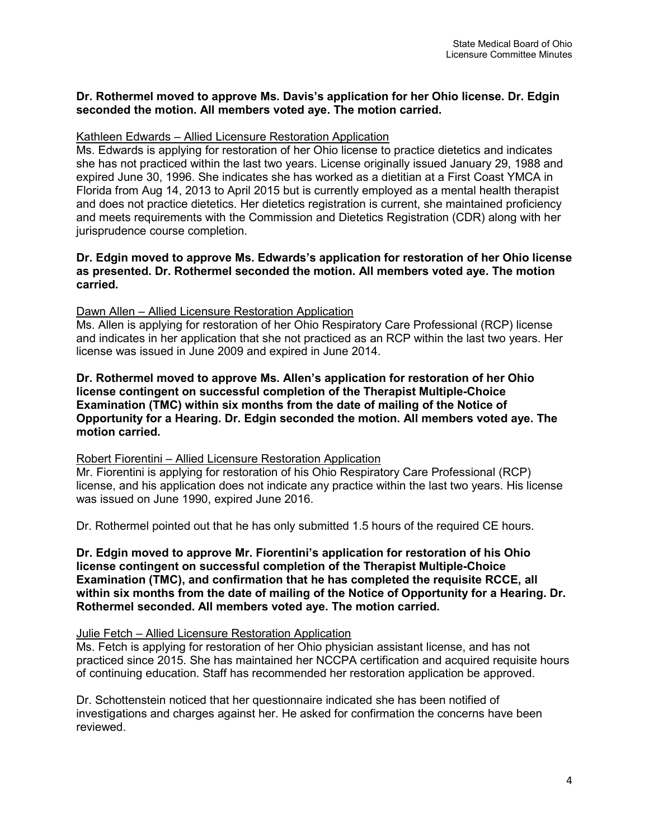#### **Dr. Rothermel moved to approve Ms. Davis's application for her Ohio license. Dr. Edgin seconded the motion. All members voted aye. The motion carried.**

#### Kathleen Edwards – Allied Licensure Restoration Application

Ms. Edwards is applying for restoration of her Ohio license to practice dietetics and indicates she has not practiced within the last two years. License originally issued January 29, 1988 and expired June 30, 1996. She indicates she has worked as a dietitian at a First Coast YMCA in Florida from Aug 14, 2013 to April 2015 but is currently employed as a mental health therapist and does not practice dietetics. Her dietetics registration is current, she maintained proficiency and meets requirements with the Commission and Dietetics Registration (CDR) along with her jurisprudence course completion.

#### **Dr. Edgin moved to approve Ms. Edwards's application for restoration of her Ohio license as presented. Dr. Rothermel seconded the motion. All members voted aye. The motion carried.**

#### Dawn Allen – Allied Licensure Restoration Application

Ms. Allen is applying for restoration of her Ohio Respiratory Care Professional (RCP) license and indicates in her application that she not practiced as an RCP within the last two years. Her license was issued in June 2009 and expired in June 2014.

#### **Dr. Rothermel moved to approve Ms. Allen's application for restoration of her Ohio license contingent on successful completion of the Therapist Multiple-Choice Examination (TMC) within six months from the date of mailing of the Notice of Opportunity for a Hearing. Dr. Edgin seconded the motion. All members voted aye. The motion carried.**

#### Robert Fiorentini – Allied Licensure Restoration Application

Mr. Fiorentini is applying for restoration of his Ohio Respiratory Care Professional (RCP) license, and his application does not indicate any practice within the last two years. His license was issued on June 1990, expired June 2016.

Dr. Rothermel pointed out that he has only submitted 1.5 hours of the required CE hours.

#### **Dr. Edgin moved to approve Mr. Fiorentini's application for restoration of his Ohio license contingent on successful completion of the Therapist Multiple-Choice Examination (TMC), and confirmation that he has completed the requisite RCCE, all within six months from the date of mailing of the Notice of Opportunity for a Hearing. Dr. Rothermel seconded. All members voted aye. The motion carried.**

#### Julie Fetch – Allied Licensure Restoration Application

Ms. Fetch is applying for restoration of her Ohio physician assistant license, and has not practiced since 2015. She has maintained her NCCPA certification and acquired requisite hours of continuing education. Staff has recommended her restoration application be approved.

Dr. Schottenstein noticed that her questionnaire indicated she has been notified of investigations and charges against her. He asked for confirmation the concerns have been reviewed.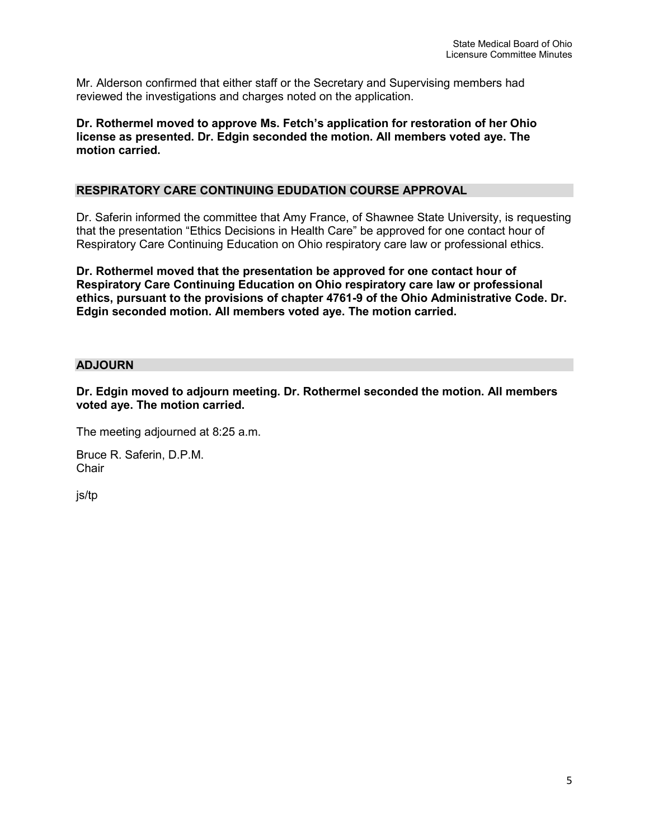Mr. Alderson confirmed that either staff or the Secretary and Supervising members had reviewed the investigations and charges noted on the application.

## **Dr. Rothermel moved to approve Ms. Fetch's application for restoration of her Ohio license as presented. Dr. Edgin seconded the motion. All members voted aye. The motion carried.**

## **RESPIRATORY CARE CONTINUING EDUDATION COURSE APPROVAL**

Dr. Saferin informed the committee that Amy France, of Shawnee State University, is requesting that the presentation "Ethics Decisions in Health Care" be approved for one contact hour of Respiratory Care Continuing Education on Ohio respiratory care law or professional ethics.

**Dr. Rothermel moved that the presentation be approved for one contact hour of Respiratory Care Continuing Education on Ohio respiratory care law or professional ethics, pursuant to the provisions of chapter 4761-9 of the Ohio Administrative Code. Dr. Edgin seconded motion. All members voted aye. The motion carried.** 

## **ADJOURN**

**Dr. Edgin moved to adjourn meeting. Dr. Rothermel seconded the motion. All members voted aye. The motion carried.**

The meeting adjourned at 8:25 a.m.

Bruce R. Saferin, D.P.M. **Chair** 

js/tp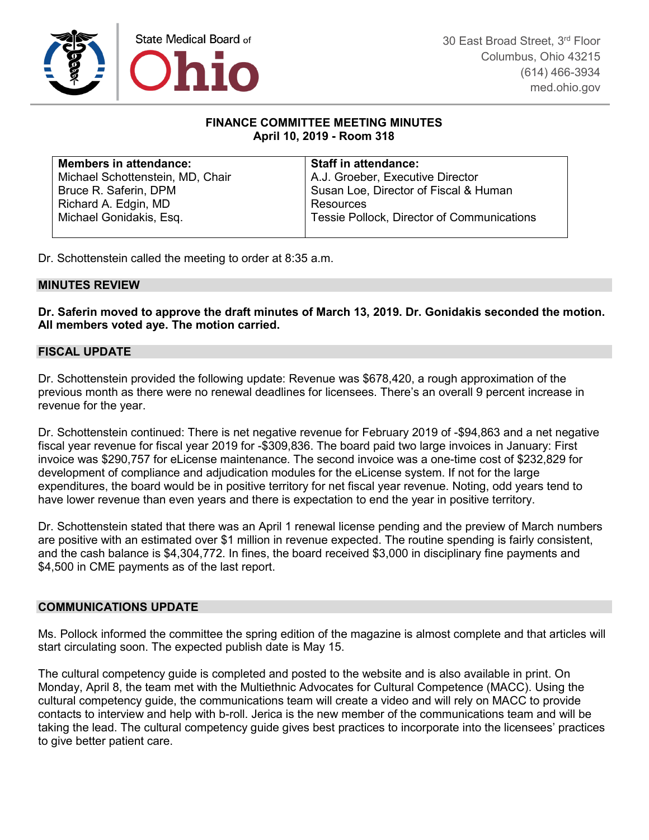

#### **FINANCE COMMITTEE MEETING MINUTES April 10, 2019 - Room 318**

| <b>Members in attendance:</b>    | <b>Staff in attendance:</b>                |
|----------------------------------|--------------------------------------------|
| Michael Schottenstein, MD, Chair | A.J. Groeber, Executive Director           |
| Bruce R. Saferin, DPM            | Susan Loe, Director of Fiscal & Human      |
| Richard A. Edgin, MD             | Resources                                  |
| Michael Gonidakis, Esq.          | Tessie Pollock, Director of Communications |
|                                  |                                            |

Dr. Schottenstein called the meeting to order at 8:35 a.m.

#### **MINUTES REVIEW**

**Dr. Saferin moved to approve the draft minutes of March 13, 2019. Dr. Gonidakis seconded the motion. All members voted aye. The motion carried.**

## **FISCAL UPDATE**

Dr. Schottenstein provided the following update: Revenue was \$678,420, a rough approximation of the previous month as there were no renewal deadlines for licensees. There's an overall 9 percent increase in revenue for the year.

Dr. Schottenstein continued: There is net negative revenue for February 2019 of -\$94,863 and a net negative fiscal year revenue for fiscal year 2019 for -\$309,836. The board paid two large invoices in January: First invoice was \$290,757 for eLicense maintenance. The second invoice was a one-time cost of \$232,829 for development of compliance and adjudication modules for the eLicense system. If not for the large expenditures, the board would be in positive territory for net fiscal year revenue. Noting, odd years tend to have lower revenue than even years and there is expectation to end the year in positive territory.

Dr. Schottenstein stated that there was an April 1 renewal license pending and the preview of March numbers are positive with an estimated over \$1 million in revenue expected. The routine spending is fairly consistent, and the cash balance is \$4,304,772. In fines, the board received \$3,000 in disciplinary fine payments and \$4,500 in CME payments as of the last report.

#### **COMMUNICATIONS UPDATE**

Ms. Pollock informed the committee the spring edition of the magazine is almost complete and that articles will start circulating soon. The expected publish date is May 15.

The cultural competency guide is completed and posted to the website and is also available in print. On Monday, April 8, the team met with the Multiethnic Advocates for Cultural Competence (MACC). Using the cultural competency guide, the communications team will create a video and will rely on MACC to provide contacts to interview and help with b-roll. Jerica is the new member of the communications team and will be taking the lead. The cultural competency guide gives best practices to incorporate into the licensees' practices to give better patient care.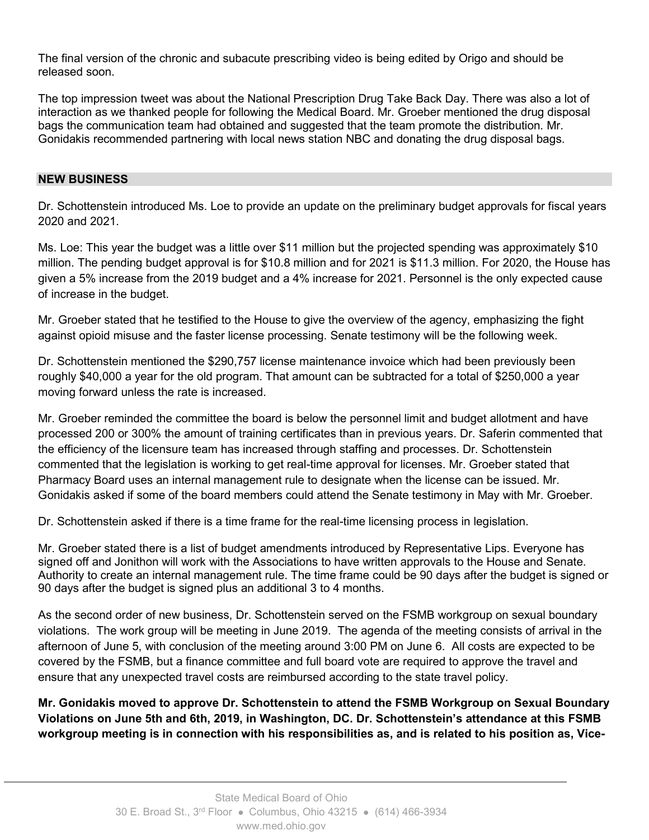The final version of the chronic and subacute prescribing video is being edited by Origo and should be released soon.

The top impression tweet was about the National Prescription Drug Take Back Day. There was also a lot of interaction as we thanked people for following the Medical Board. Mr. Groeber mentioned the drug disposal bags the communication team had obtained and suggested that the team promote the distribution. Mr. Gonidakis recommended partnering with local news station NBC and donating the drug disposal bags.

## **NEW BUSINESS**

Dr. Schottenstein introduced Ms. Loe to provide an update on the preliminary budget approvals for fiscal years 2020 and 2021.

Ms. Loe: This year the budget was a little over \$11 million but the projected spending was approximately \$10 million. The pending budget approval is for \$10.8 million and for 2021 is \$11.3 million. For 2020, the House has given a 5% increase from the 2019 budget and a 4% increase for 2021. Personnel is the only expected cause of increase in the budget.

Mr. Groeber stated that he testified to the House to give the overview of the agency, emphasizing the fight against opioid misuse and the faster license processing. Senate testimony will be the following week.

Dr. Schottenstein mentioned the \$290,757 license maintenance invoice which had been previously been roughly \$40,000 a year for the old program. That amount can be subtracted for a total of \$250,000 a year moving forward unless the rate is increased.

Mr. Groeber reminded the committee the board is below the personnel limit and budget allotment and have processed 200 or 300% the amount of training certificates than in previous years. Dr. Saferin commented that the efficiency of the licensure team has increased through staffing and processes. Dr. Schottenstein commented that the legislation is working to get real-time approval for licenses. Mr. Groeber stated that Pharmacy Board uses an internal management rule to designate when the license can be issued. Mr. Gonidakis asked if some of the board members could attend the Senate testimony in May with Mr. Groeber.

Dr. Schottenstein asked if there is a time frame for the real-time licensing process in legislation.

Mr. Groeber stated there is a list of budget amendments introduced by Representative Lips. Everyone has signed off and Jonithon will work with the Associations to have written approvals to the House and Senate. Authority to create an internal management rule. The time frame could be 90 days after the budget is signed or 90 days after the budget is signed plus an additional 3 to 4 months.

As the second order of new business, Dr. Schottenstein served on the FSMB workgroup on sexual boundary violations. The work group will be meeting in June 2019. The agenda of the meeting consists of arrival in the afternoon of June 5, with conclusion of the meeting around 3:00 PM on June 6. All costs are expected to be covered by the FSMB, but a finance committee and full board vote are required to approve the travel and ensure that any unexpected travel costs are reimbursed according to the state travel policy.

**Mr. Gonidakis moved to approve Dr. Schottenstein to attend the FSMB Workgroup on Sexual Boundary Violations on June 5th and 6th, 2019, in Washington, DC. Dr. Schottenstein's attendance at this FSMB workgroup meeting is in connection with his responsibilities as, and is related to his position as, Vice-**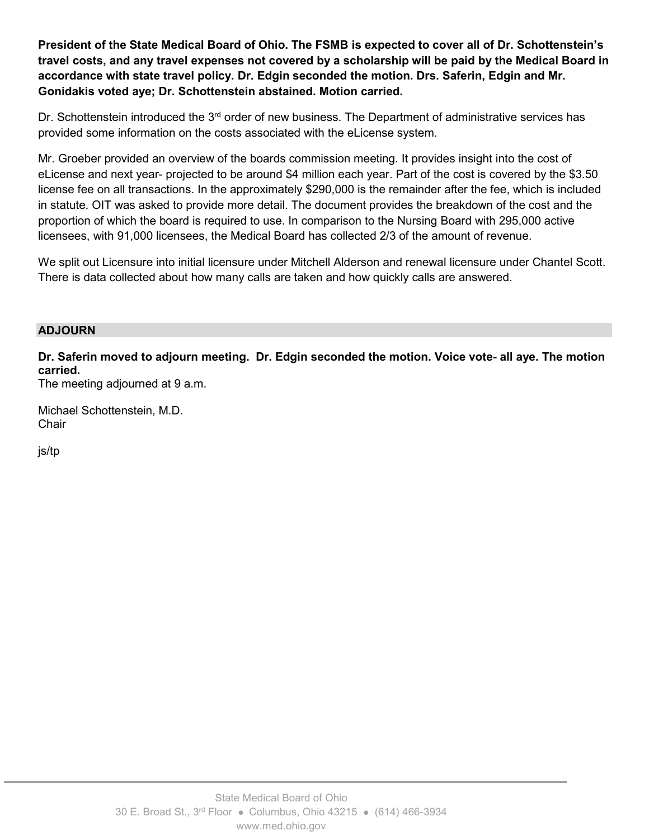**President of the State Medical Board of Ohio. The FSMB is expected to cover all of Dr. Schottenstein's travel costs, and any travel expenses not covered by a scholarship will be paid by the Medical Board in accordance with state travel policy. Dr. Edgin seconded the motion. Drs. Saferin, Edgin and Mr. Gonidakis voted aye; Dr. Schottenstein abstained. Motion carried.**

Dr. Schottenstein introduced the 3<sup>rd</sup> order of new business. The Department of administrative services has provided some information on the costs associated with the eLicense system.

Mr. Groeber provided an overview of the boards commission meeting. It provides insight into the cost of eLicense and next year- projected to be around \$4 million each year. Part of the cost is covered by the \$3.50 license fee on all transactions. In the approximately \$290,000 is the remainder after the fee, which is included in statute. OIT was asked to provide more detail. The document provides the breakdown of the cost and the proportion of which the board is required to use. In comparison to the Nursing Board with 295,000 active licensees, with 91,000 licensees, the Medical Board has collected 2/3 of the amount of revenue.

We split out Licensure into initial licensure under Mitchell Alderson and renewal licensure under Chantel Scott. There is data collected about how many calls are taken and how quickly calls are answered.

#### **ADJOURN**

**Dr. Saferin moved to adjourn meeting. Dr. Edgin seconded the motion. Voice vote- all aye. The motion carried.**

The meeting adjourned at 9 a.m.

Michael Schottenstein, M.D. **Chair** 

js/tp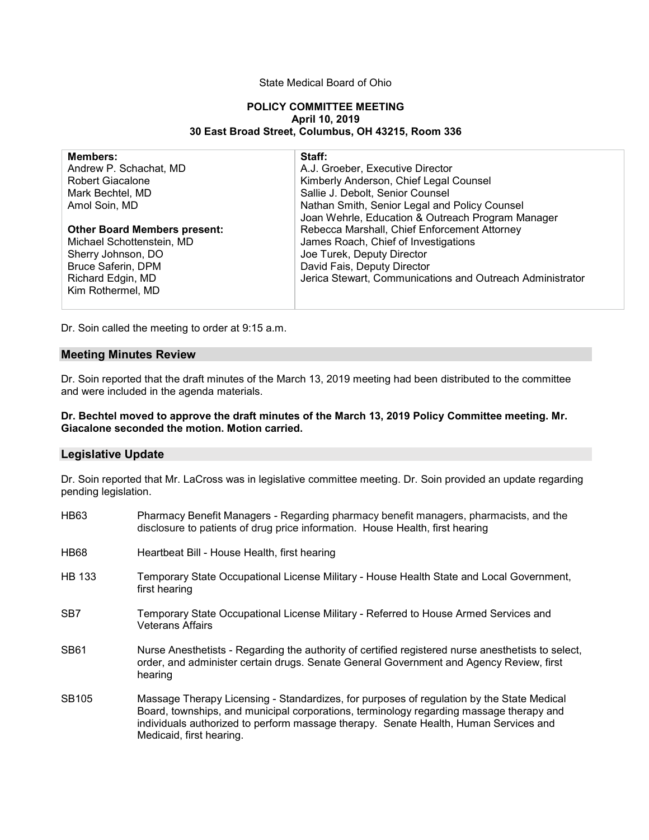#### State Medical Board of Ohio

#### **POLICY COMMITTEE MEETING April 10, 2019 30 East Broad Street, Columbus, OH 43215, Room 336**

| <b>Members:</b>                     | Staff:                                                    |
|-------------------------------------|-----------------------------------------------------------|
| Andrew P. Schachat, MD              | A.J. Groeber, Executive Director                          |
| <b>Robert Giacalone</b>             | Kimberly Anderson, Chief Legal Counsel                    |
| Mark Bechtel, MD                    | Sallie J. Debolt, Senior Counsel                          |
| Amol Soin, MD                       | Nathan Smith, Senior Legal and Policy Counsel             |
|                                     | Joan Wehrle, Education & Outreach Program Manager         |
| <b>Other Board Members present:</b> | Rebecca Marshall, Chief Enforcement Attorney              |
| Michael Schottenstein, MD           | James Roach, Chief of Investigations                      |
| Sherry Johnson, DO                  | Joe Turek, Deputy Director                                |
| <b>Bruce Saferin, DPM</b>           | David Fais, Deputy Director                               |
| Richard Edgin, MD                   | Jerica Stewart, Communications and Outreach Administrator |
| Kim Rothermel, MD                   |                                                           |
|                                     |                                                           |

Dr. Soin called the meeting to order at 9:15 a.m.

#### **Meeting Minutes Review**

Dr. Soin reported that the draft minutes of the March 13, 2019 meeting had been distributed to the committee and were included in the agenda materials.

#### **Dr. Bechtel moved to approve the draft minutes of the March 13, 2019 Policy Committee meeting. Mr. Giacalone seconded the motion. Motion carried.**

#### **Legislative Update**

Dr. Soin reported that Mr. LaCross was in legislative committee meeting. Dr. Soin provided an update regarding pending legislation.

| <b>HB63</b>       | Pharmacy Benefit Managers - Regarding pharmacy benefit managers, pharmacists, and the<br>disclosure to patients of drug price information. House Health, first hearing                                                                                                                                   |
|-------------------|----------------------------------------------------------------------------------------------------------------------------------------------------------------------------------------------------------------------------------------------------------------------------------------------------------|
| HB <sub>68</sub>  | Heartbeat Bill - House Health, first hearing                                                                                                                                                                                                                                                             |
| HB 133            | Temporary State Occupational License Military - House Health State and Local Government,<br>first hearing                                                                                                                                                                                                |
| SB <sub>7</sub>   | Temporary State Occupational License Military - Referred to House Armed Services and<br><b>Veterans Affairs</b>                                                                                                                                                                                          |
| SB <sub>61</sub>  | Nurse Anesthetists - Regarding the authority of certified registered nurse anesthetists to select,<br>order, and administer certain drugs. Senate General Government and Agency Review, first<br>hearing                                                                                                 |
| SB <sub>105</sub> | Massage Therapy Licensing - Standardizes, for purposes of regulation by the State Medical<br>Board, townships, and municipal corporations, terminology regarding massage therapy and<br>individuals authorized to perform massage therapy. Senate Health, Human Services and<br>Medicaid, first hearing. |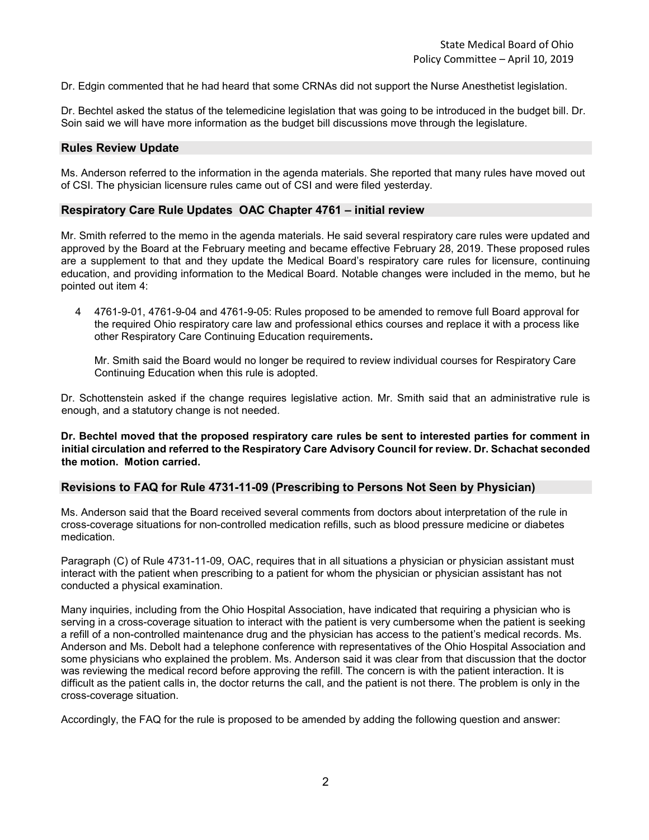Dr. Edgin commented that he had heard that some CRNAs did not support the Nurse Anesthetist legislation.

Dr. Bechtel asked the status of the telemedicine legislation that was going to be introduced in the budget bill. Dr. Soin said we will have more information as the budget bill discussions move through the legislature.

#### **Rules Review Update**

Ms. Anderson referred to the information in the agenda materials. She reported that many rules have moved out of CSI. The physician licensure rules came out of CSI and were filed yesterday.

#### **Respiratory Care Rule Updates OAC Chapter 4761 – initial review**

Mr. Smith referred to the memo in the agenda materials. He said several respiratory care rules were updated and approved by the Board at the February meeting and became effective February 28, 2019. These proposed rules are a supplement to that and they update the Medical Board's respiratory care rules for licensure, continuing education, and providing information to the Medical Board. Notable changes were included in the memo, but he pointed out item 4:

4 4761-9-01, 4761-9-04 and 4761-9-05: Rules proposed to be amended to remove full Board approval for the required Ohio respiratory care law and professional ethics courses and replace it with a process like other Respiratory Care Continuing Education requirements**.**

Mr. Smith said the Board would no longer be required to review individual courses for Respiratory Care Continuing Education when this rule is adopted.

Dr. Schottenstein asked if the change requires legislative action. Mr. Smith said that an administrative rule is enough, and a statutory change is not needed.

**Dr. Bechtel moved that the proposed respiratory care rules be sent to interested parties for comment in initial circulation and referred to the Respiratory Care Advisory Council for review. Dr. Schachat seconded the motion. Motion carried.**

#### **Revisions to FAQ for Rule 4731-11-09 (Prescribing to Persons Not Seen by Physician)**

Ms. Anderson said that the Board received several comments from doctors about interpretation of the rule in cross-coverage situations for non-controlled medication refills, such as blood pressure medicine or diabetes medication.

Paragraph (C) of Rule 4731-11-09, OAC, requires that in all situations a physician or physician assistant must interact with the patient when prescribing to a patient for whom the physician or physician assistant has not conducted a physical examination.

Many inquiries, including from the Ohio Hospital Association, have indicated that requiring a physician who is serving in a cross-coverage situation to interact with the patient is very cumbersome when the patient is seeking a refill of a non-controlled maintenance drug and the physician has access to the patient's medical records. Ms. Anderson and Ms. Debolt had a telephone conference with representatives of the Ohio Hospital Association and some physicians who explained the problem. Ms. Anderson said it was clear from that discussion that the doctor was reviewing the medical record before approving the refill. The concern is with the patient interaction. It is difficult as the patient calls in, the doctor returns the call, and the patient is not there. The problem is only in the cross-coverage situation.

Accordingly, the FAQ for the rule is proposed to be amended by adding the following question and answer: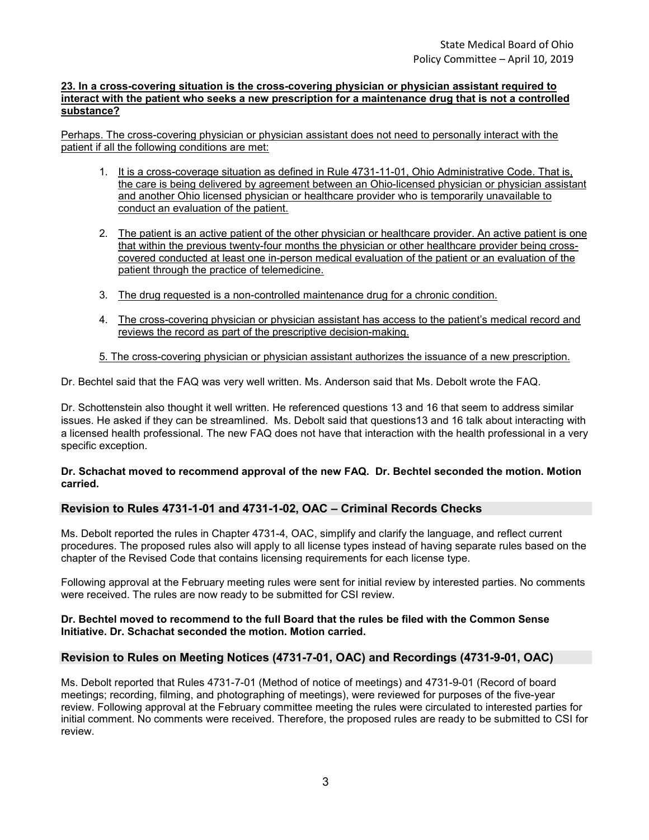#### **23. In a cross-covering situation is the cross-covering physician or physician assistant required to interact with the patient who seeks a new prescription for a maintenance drug that is not a controlled substance?**

Perhaps. The cross-covering physician or physician assistant does not need to personally interact with the patient if all the following conditions are met:

- 1. It is a cross-coverage situation as defined in Rule 4731-11-01, Ohio Administrative Code. That is, the care is being delivered by agreement between an Ohio-licensed physician or physician assistant and another Ohio licensed physician or healthcare provider who is temporarily unavailable to conduct an evaluation of the patient.
- 2. The patient is an active patient of the other physician or healthcare provider. An active patient is one that within the previous twenty-four months the physician or other healthcare provider being crosscovered conducted at least one in-person medical evaluation of the patient or an evaluation of the patient through the practice of telemedicine.
- 3. The drug requested is a non-controlled maintenance drug for a chronic condition.
- 4. The cross-covering physician or physician assistant has access to the patient's medical record and reviews the record as part of the prescriptive decision-making.

#### 5. The cross-covering physician or physician assistant authorizes the issuance of a new prescription.

Dr. Bechtel said that the FAQ was very well written. Ms. Anderson said that Ms. Debolt wrote the FAQ.

Dr. Schottenstein also thought it well written. He referenced questions 13 and 16 that seem to address similar issues. He asked if they can be streamlined. Ms. Debolt said that questions13 and 16 talk about interacting with a licensed health professional. The new FAQ does not have that interaction with the health professional in a very specific exception.

#### **Dr. Schachat moved to recommend approval of the new FAQ. Dr. Bechtel seconded the motion. Motion carried.**

#### **Revision to Rules 4731-1-01 and 4731-1-02, OAC – Criminal Records Checks**

Ms. Debolt reported the rules in Chapter 4731-4, OAC, simplify and clarify the language, and reflect current procedures. The proposed rules also will apply to all license types instead of having separate rules based on the chapter of the Revised Code that contains licensing requirements for each license type.

Following approval at the February meeting rules were sent for initial review by interested parties. No comments were received. The rules are now ready to be submitted for CSI review.

#### **Dr. Bechtel moved to recommend to the full Board that the rules be filed with the Common Sense Initiative. Dr. Schachat seconded the motion. Motion carried.**

#### **Revision to Rules on Meeting Notices (4731-7-01, OAC) and Recordings (4731-9-01, OAC)**

Ms. Debolt reported that Rules 4731-7-01 (Method of notice of meetings) and 4731-9-01 (Record of board meetings; recording, filming, and photographing of meetings), were reviewed for purposes of the five-year review. Following approval at the February committee meeting the rules were circulated to interested parties for initial comment. No comments were received. Therefore, the proposed rules are ready to be submitted to CSI for review.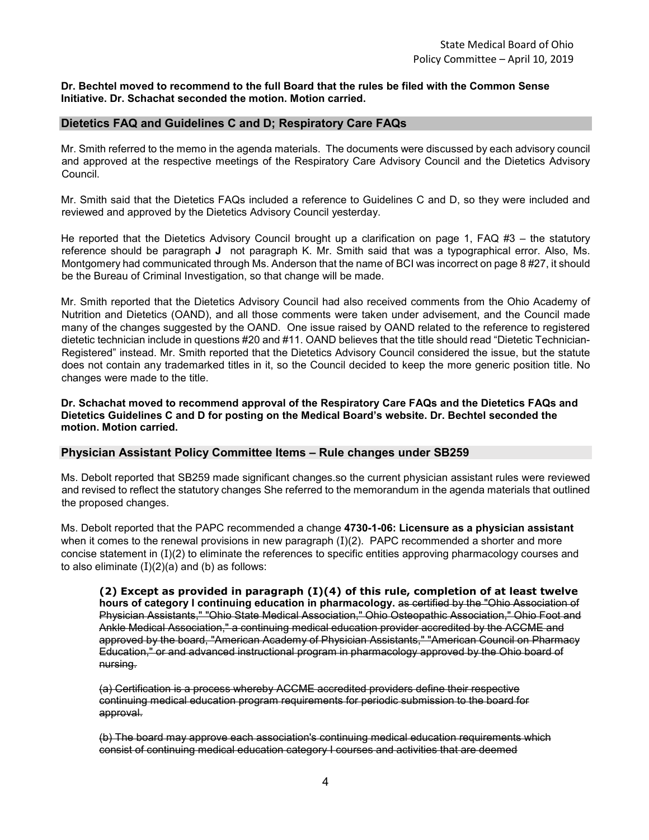#### **Dr. Bechtel moved to recommend to the full Board that the rules be filed with the Common Sense Initiative. Dr. Schachat seconded the motion. Motion carried.**

#### **Dietetics FAQ and Guidelines C and D; Respiratory Care FAQs**

Mr. Smith referred to the memo in the agenda materials. The documents were discussed by each advisory council and approved at the respective meetings of the Respiratory Care Advisory Council and the Dietetics Advisory Council.

Mr. Smith said that the Dietetics FAQs included a reference to Guidelines C and D, so they were included and reviewed and approved by the Dietetics Advisory Council yesterday.

He reported that the Dietetics Advisory Council brought up a clarification on page 1, FAQ #3 – the statutory reference should be paragraph **J** not paragraph K. Mr. Smith said that was a typographical error. Also, Ms. Montgomery had communicated through Ms. Anderson that the name of BCI was incorrect on page 8 #27, it should be the Bureau of Criminal Investigation, so that change will be made.

Mr. Smith reported that the Dietetics Advisory Council had also received comments from the Ohio Academy of Nutrition and Dietetics (OAND), and all those comments were taken under advisement, and the Council made many of the changes suggested by the OAND. One issue raised by OAND related to the reference to registered dietetic technician include in questions #20 and #11. OAND believes that the title should read "Dietetic Technician-Registered" instead. Mr. Smith reported that the Dietetics Advisory Council considered the issue, but the statute does not contain any trademarked titles in it, so the Council decided to keep the more generic position title. No changes were made to the title.

**Dr. Schachat moved to recommend approval of the Respiratory Care FAQs and the Dietetics FAQs and Dietetics Guidelines C and D for posting on the Medical Board's website. Dr. Bechtel seconded the motion. Motion carried.**

#### **Physician Assistant Policy Committee Items – Rule changes under SB259**

Ms. Debolt reported that SB259 made significant changes.so the current physician assistant rules were reviewed and revised to reflect the statutory changes She referred to the memorandum in the agenda materials that outlined the proposed changes.

Ms. Debolt reported that the PAPC recommended a change **4730-1-06: Licensure as a physician assistant** when it comes to the renewal provisions in new paragraph  $(I)(2)$ . PAPC recommended a shorter and more concise statement in (I)(2) to eliminate the references to specific entities approving pharmacology courses and to also eliminate  $(I)(2)(a)$  and  $(b)$  as follows:

**(2) Except as provided in paragraph (I)(4) of this rule, completion of at least twelve hours of category I continuing education in pharmacology.** as certified by the "Ohio Association of Physician Assistants," "Ohio State Medical Association," Ohio Osteopathic Association," Ohio Foot and Ankle Medical Association," a continuing medical education provider accredited by the ACCME and approved by the board, "American Academy of Physician Assistants," "American Council on Pharmacy Education," or and advanced instructional program in pharmacology approved by the Ohio board of nursing.

(a) Certification is a process whereby ACCME accredited providers define their respective continuing medical education program requirements for periodic submission to the board for approval.

(b) The board may approve each association's continuing medical education requirements which consist of continuing medical education category I courses and activities that are deemed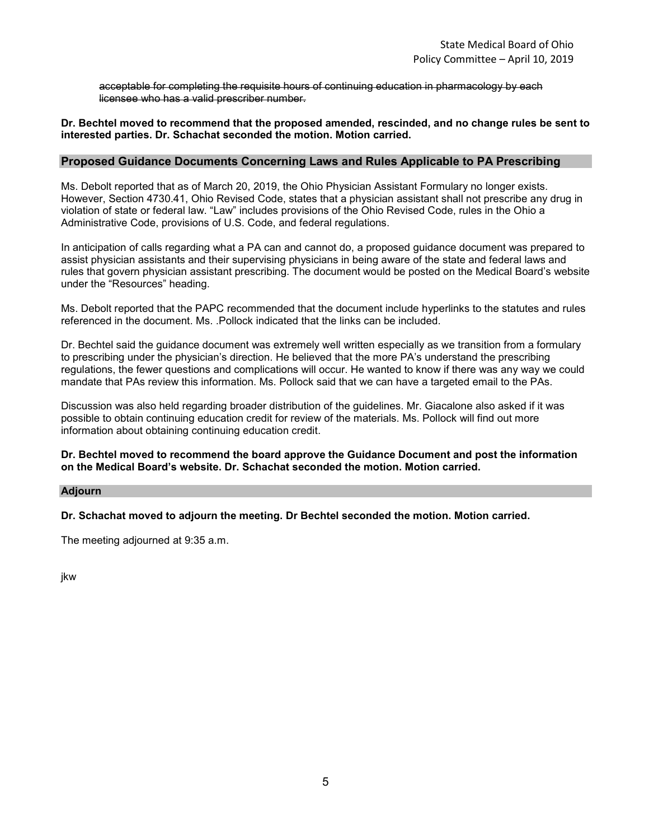acceptable for completing the requisite hours of continuing education in pharmacology by each licensee who has a valid prescriber number.

#### **Dr. Bechtel moved to recommend that the proposed amended, rescinded, and no change rules be sent to interested parties. Dr. Schachat seconded the motion. Motion carried.**

#### **Proposed Guidance Documents Concerning Laws and Rules Applicable to PA Prescribing**

Ms. Debolt reported that as of March 20, 2019, the Ohio Physician Assistant Formulary no longer exists. However, Section 4730.41, Ohio Revised Code, states that a physician assistant shall not prescribe any drug in violation of state or federal law. "Law" includes provisions of the Ohio Revised Code, rules in the Ohio a Administrative Code, provisions of U.S. Code, and federal regulations.

In anticipation of calls regarding what a PA can and cannot do, a proposed guidance document was prepared to assist physician assistants and their supervising physicians in being aware of the state and federal laws and rules that govern physician assistant prescribing. The document would be posted on the Medical Board's website under the "Resources" heading.

Ms. Debolt reported that the PAPC recommended that the document include hyperlinks to the statutes and rules referenced in the document. Ms. .Pollock indicated that the links can be included.

Dr. Bechtel said the guidance document was extremely well written especially as we transition from a formulary to prescribing under the physician's direction. He believed that the more PA's understand the prescribing regulations, the fewer questions and complications will occur. He wanted to know if there was any way we could mandate that PAs review this information. Ms. Pollock said that we can have a targeted email to the PAs.

Discussion was also held regarding broader distribution of the guidelines. Mr. Giacalone also asked if it was possible to obtain continuing education credit for review of the materials. Ms. Pollock will find out more information about obtaining continuing education credit.

#### **Dr. Bechtel moved to recommend the board approve the Guidance Document and post the information on the Medical Board's website. Dr. Schachat seconded the motion. Motion carried.**

#### **Adjourn**

**Dr. Schachat moved to adjourn the meeting. Dr Bechtel seconded the motion. Motion carried.**

The meeting adjourned at 9:35 a.m.

jkw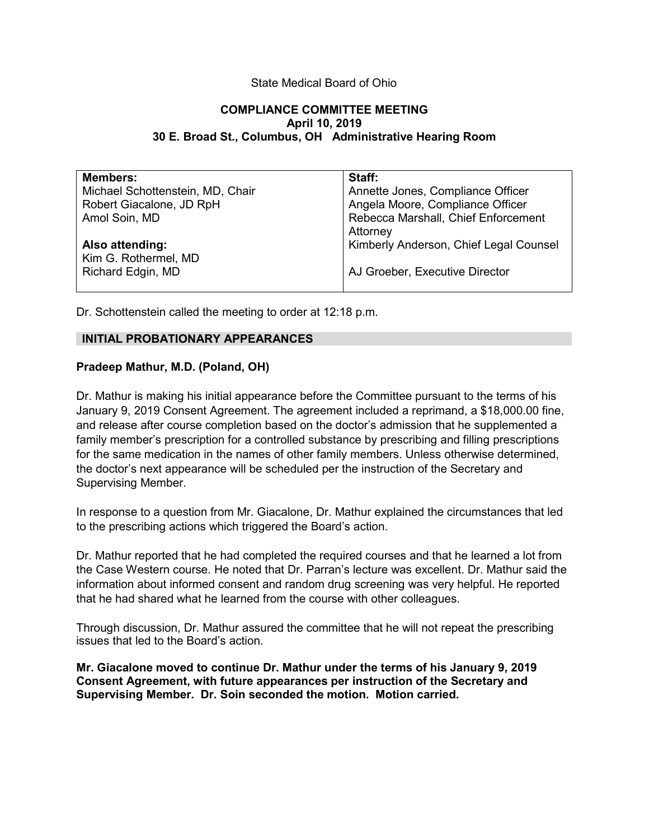#### State Medical Board of Ohio

#### **COMPLIANCE COMMITTEE MEETING April 10, 2019 30 E. Broad St., Columbus, OH Administrative Hearing Room**

| <b>Members:</b>                  | Staff:                                 |
|----------------------------------|----------------------------------------|
| Michael Schottenstein, MD, Chair | Annette Jones, Compliance Officer      |
| Robert Giacalone, JD RpH         | Angela Moore, Compliance Officer       |
| Amol Soin, MD                    | Rebecca Marshall, Chief Enforcement    |
|                                  | Attorney                               |
| Also attending:                  | Kimberly Anderson, Chief Legal Counsel |
| Kim G. Rothermel, MD             |                                        |
| Richard Edgin, MD                | AJ Groeber, Executive Director         |
|                                  |                                        |

Dr. Schottenstein called the meeting to order at 12:18 p.m.

#### **INITIAL PROBATIONARY APPEARANCES**

#### **Pradeep Mathur, M.D. (Poland, OH)**

Dr. Mathur is making his initial appearance before the Committee pursuant to the terms of his January 9, 2019 Consent Agreement. The agreement included a reprimand, a \$18,000.00 fine, and release after course completion based on the doctor's admission that he supplemented a family member's prescription for a controlled substance by prescribing and filling prescriptions for the same medication in the names of other family members. Unless otherwise determined, the doctor's next appearance will be scheduled per the instruction of the Secretary and Supervising Member.

In response to a question from Mr. Giacalone, Dr. Mathur explained the circumstances that led to the prescribing actions which triggered the Board's action.

Dr. Mathur reported that he had completed the required courses and that he learned a lot from the Case Western course. He noted that Dr. Parran's lecture was excellent. Dr. Mathur said the information about informed consent and random drug screening was very helpful. He reported that he had shared what he learned from the course with other colleagues.

Through discussion, Dr. Mathur assured the committee that he will not repeat the prescribing issues that led to the Board's action.

**Mr. Giacalone moved to continue Dr. Mathur under the terms of his January 9, 2019 Consent Agreement, with future appearances per instruction of the Secretary and Supervising Member. Dr. Soin seconded the motion. Motion carried.**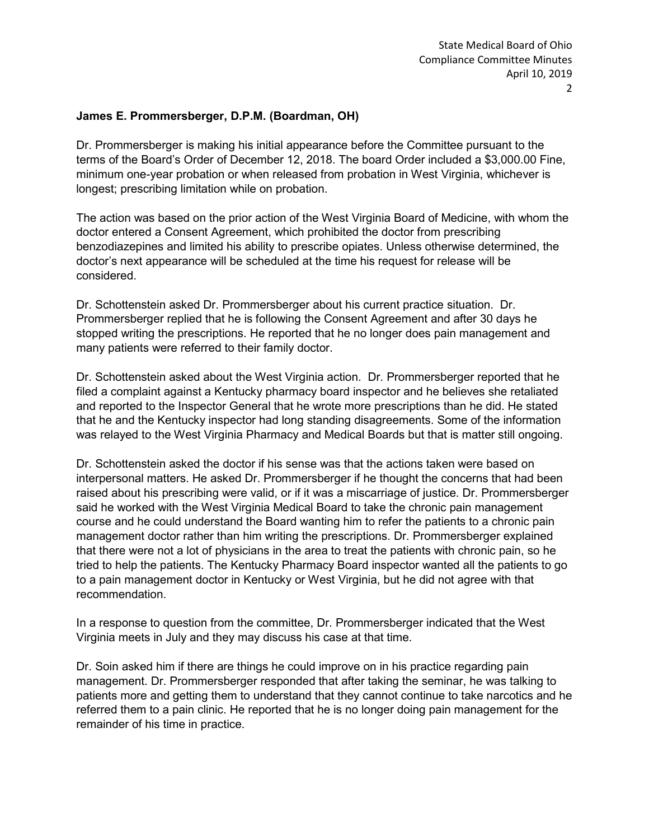## **James E. Prommersberger, D.P.M. (Boardman, OH)**

Dr. Prommersberger is making his initial appearance before the Committee pursuant to the terms of the Board's Order of December 12, 2018. The board Order included a \$3,000.00 Fine, minimum one-year probation or when released from probation in West Virginia, whichever is longest; prescribing limitation while on probation.

The action was based on the prior action of the West Virginia Board of Medicine, with whom the doctor entered a Consent Agreement, which prohibited the doctor from prescribing benzodiazepines and limited his ability to prescribe opiates. Unless otherwise determined, the doctor's next appearance will be scheduled at the time his request for release will be considered.

Dr. Schottenstein asked Dr. Prommersberger about his current practice situation. Dr. Prommersberger replied that he is following the Consent Agreement and after 30 days he stopped writing the prescriptions. He reported that he no longer does pain management and many patients were referred to their family doctor.

Dr. Schottenstein asked about the West Virginia action. Dr. Prommersberger reported that he filed a complaint against a Kentucky pharmacy board inspector and he believes she retaliated and reported to the Inspector General that he wrote more prescriptions than he did. He stated that he and the Kentucky inspector had long standing disagreements. Some of the information was relayed to the West Virginia Pharmacy and Medical Boards but that is matter still ongoing.

Dr. Schottenstein asked the doctor if his sense was that the actions taken were based on interpersonal matters. He asked Dr. Prommersberger if he thought the concerns that had been raised about his prescribing were valid, or if it was a miscarriage of justice. Dr. Prommersberger said he worked with the West Virginia Medical Board to take the chronic pain management course and he could understand the Board wanting him to refer the patients to a chronic pain management doctor rather than him writing the prescriptions. Dr. Prommersberger explained that there were not a lot of physicians in the area to treat the patients with chronic pain, so he tried to help the patients. The Kentucky Pharmacy Board inspector wanted all the patients to go to a pain management doctor in Kentucky or West Virginia, but he did not agree with that recommendation.

In a response to question from the committee, Dr. Prommersberger indicated that the West Virginia meets in July and they may discuss his case at that time.

Dr. Soin asked him if there are things he could improve on in his practice regarding pain management. Dr. Prommersberger responded that after taking the seminar, he was talking to patients more and getting them to understand that they cannot continue to take narcotics and he referred them to a pain clinic. He reported that he is no longer doing pain management for the remainder of his time in practice.